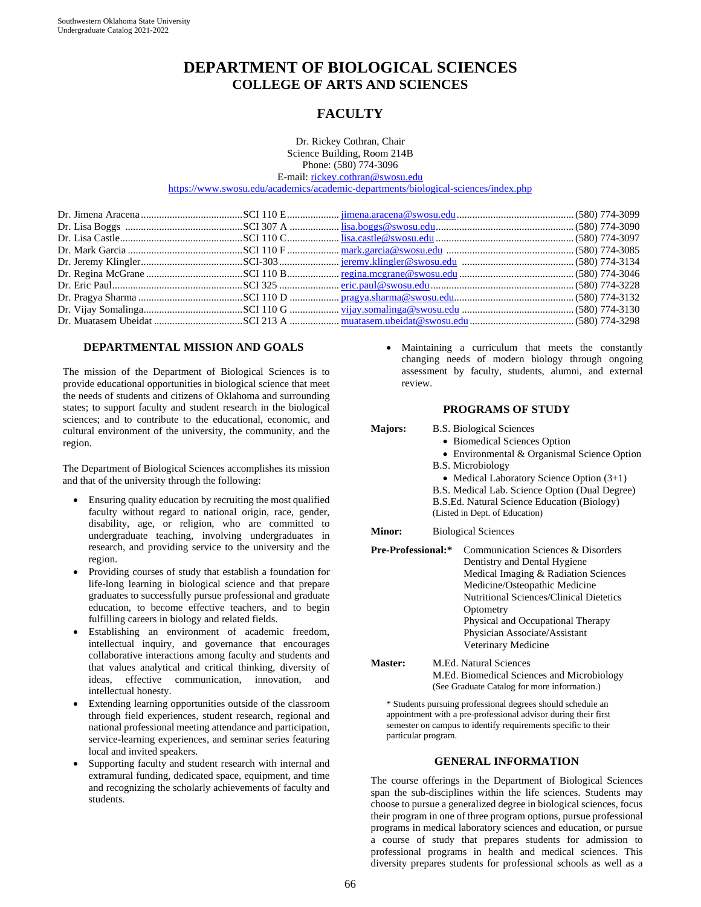# **DEPARTMENT OF BIOLOGICAL SCIENCES COLLEGE OF ARTS AND SCIENCES**

# **FACULTY**

Dr. Rickey Cothran, Chair Science Building, Room 214B Phone: (580) 774-3096 E-mail[: rickey.cothran@swosu.edu](mailto:rickey.cothran@swosu.edu) 

<https://www.swosu.edu/academics/academic-departments/biological-sciences/index.php>

#### **DEPARTMENTAL MISSION AND GOALS**

The mission of the Department of Biological Sciences is to provide educational opportunities in biological science that meet the needs of students and citizens of Oklahoma and surrounding states; to support faculty and student research in the biological sciences; and to contribute to the educational, economic, and cultural environment of the university, the community, and the region.

The Department of Biological Sciences accomplishes its mission and that of the university through the following:

- Ensuring quality education by recruiting the most qualified faculty without regard to national origin, race, gender, disability, age, or religion, who are committed to undergraduate teaching, involving undergraduates in research, and providing service to the university and the region.
- Providing courses of study that establish a foundation for life-long learning in biological science and that prepare graduates to successfully pursue professional and graduate education, to become effective teachers, and to begin fulfilling careers in biology and related fields.
- Establishing an environment of academic freedom, intellectual inquiry, and governance that encourages collaborative interactions among faculty and students and that values analytical and critical thinking, diversity of ideas, effective communication, innovation, and intellectual honesty.
- Extending learning opportunities outside of the classroom through field experiences, student research, regional and national professional meeting attendance and participation, service-learning experiences, and seminar series featuring local and invited speakers.
- Supporting faculty and student research with internal and extramural funding, dedicated space, equipment, and time and recognizing the scholarly achievements of faculty and students.

Maintaining a curriculum that meets the constantly changing needs of modern biology through ongoing assessment by faculty, students, alumni, and external review.

#### **PROGRAMS OF STUDY**

**Majors:** B.S. Biological Sciences

- Biomedical Sciences Option
- Environmental & Organismal Science Option
- B.S. Microbiology
	- Medical Laboratory Science Option  $(3+1)$
- B.S. Medical Lab. Science Option (Dual Degree)
- B.S.Ed. Natural Science Education (Biology)

(Listed in Dept. of Education)

**Minor:** Biological Sciences

- **Pre-Professional:\*** Communication Sciences & Disorders Dentistry and Dental Hygiene Medical Imaging & Radiation Sciences Medicine/Osteopathic Medicine Nutritional Sciences/Clinical Dietetics **Optometry** Physical and Occupational Therapy Physician Associate/Assistant Veterinary Medicine
- **Master:** M.Ed. Natural Sciences M.Ed. Biomedical Sciences and Microbiology (See Graduate Catalog for more information.)

\* Students pursuing professional degrees should schedule an appointment with a pre-professional advisor during their first semester on campus to identify requirements specific to their particular program.

#### **GENERAL INFORMATION**

The course offerings in the Department of Biological Sciences span the sub-disciplines within the life sciences. Students may choose to pursue a generalized degree in biological sciences, focus their program in one of three program options, pursue professional programs in medical laboratory sciences and education, or pursue a course of study that prepares students for admission to professional programs in health and medical sciences. This diversity prepares students for professional schools as well as a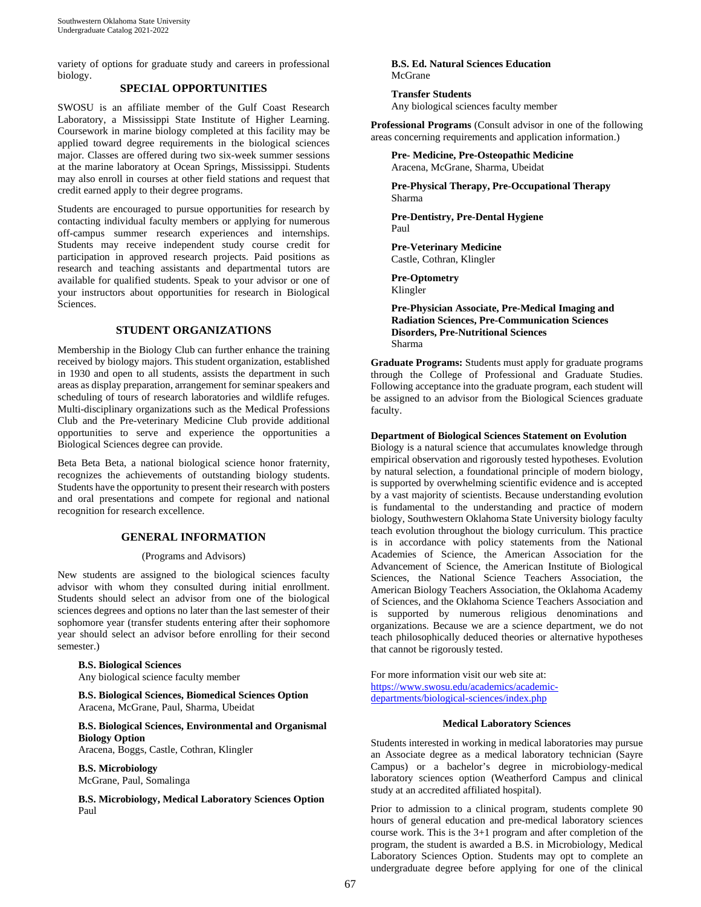variety of options for graduate study and careers in professional biology.

## **SPECIAL OPPORTUNITIES**

SWOSU is an affiliate member of the Gulf Coast Research Laboratory, a Mississippi State Institute of Higher Learning. Coursework in marine biology completed at this facility may be applied toward degree requirements in the biological sciences major. Classes are offered during two six-week summer sessions at the marine laboratory at Ocean Springs, Mississippi. Students may also enroll in courses at other field stations and request that credit earned apply to their degree programs.

Students are encouraged to pursue opportunities for research by contacting individual faculty members or applying for numerous off-campus summer research experiences and internships. Students may receive independent study course credit for participation in approved research projects. Paid positions as research and teaching assistants and departmental tutors are available for qualified students. Speak to your advisor or one of your instructors about opportunities for research in Biological Sciences.

#### **STUDENT ORGANIZATIONS**

Membership in the Biology Club can further enhance the training received by biology majors. This student organization, established in 1930 and open to all students, assists the department in such areas as display preparation, arrangement for seminar speakers and scheduling of tours of research laboratories and wildlife refuges. Multi-disciplinary organizations such as the Medical Professions Club and the Pre-veterinary Medicine Club provide additional opportunities to serve and experience the opportunities a Biological Sciences degree can provide.

Beta Beta Beta, a national biological science honor fraternity, recognizes the achievements of outstanding biology students. Students have the opportunity to present their research with posters and oral presentations and compete for regional and national recognition for research excellence.

#### **GENERAL INFORMATION**

#### (Programs and Advisors)

New students are assigned to the biological sciences faculty advisor with whom they consulted during initial enrollment. Students should select an advisor from one of the biological sciences degrees and options no later than the last semester of their sophomore year (transfer students entering after their sophomore year should select an advisor before enrolling for their second semester.)

#### **B.S. Biological Sciences**

Any biological science faculty member

**B.S. Biological Sciences, Biomedical Sciences Option** Aracena, McGrane, Paul, Sharma, Ubeidat

### **B.S. Biological Sciences, Environmental and Organismal Biology Option**

Aracena, Boggs, Castle, Cothran, Klingler

**B.S. Microbiology** McGrane, Paul, Somalinga

**B.S. Microbiology, Medical Laboratory Sciences Option** Paul

**B.S. Ed. Natural Sciences Education** McGrane

**Transfer Students** Any biological sciences faculty member

**Professional Programs** (Consult advisor in one of the following areas concerning requirements and application information.)

**Pre- Medicine, Pre-Osteopathic Medicine** Aracena, McGrane, Sharma, Ubeidat

**Pre-Physical Therapy, Pre-Occupational Therapy** Sharma

**Pre-Dentistry, Pre-Dental Hygiene** Paul

**Pre-Veterinary Medicine** Castle, Cothran, Klingler

**Pre-Optometry** Klingler

**Pre-Physician Associate, Pre-Medical Imaging and Radiation Sciences, Pre-Communication Sciences Disorders, Pre-Nutritional Sciences** Sharma

**Graduate Programs:** Students must apply for graduate programs through the College of Professional and Graduate Studies. Following acceptance into the graduate program, each student will be assigned to an advisor from the Biological Sciences graduate faculty.

#### **Department of Biological Sciences Statement on Evolution**

Biology is a natural science that accumulates knowledge through empirical observation and rigorously tested hypotheses. Evolution by natural selection, a foundational principle of modern biology, is supported by overwhelming scientific evidence and is accepted by a vast majority of scientists. Because understanding evolution is fundamental to the understanding and practice of modern biology, Southwestern Oklahoma State University biology faculty teach evolution throughout the biology curriculum. This practice is in accordance with policy statements from the National Academies of Science, the American Association for the Advancement of Science, the American Institute of Biological Sciences, the National Science Teachers Association, the American Biology Teachers Association, the Oklahoma Academy of Sciences, and the Oklahoma Science Teachers Association and is supported by numerous religious denominations and organizations. Because we are a science department, we do not teach philosophically deduced theories or alternative hypotheses that cannot be rigorously tested.

For more information visit our web site at: [https://www.swosu.edu/academics/academic](https://www.swosu.edu/academics/academic-departments/biological-sciences/index.php)[departments/biological-sciences/index.php](https://www.swosu.edu/academics/academic-departments/biological-sciences/index.php) 

#### **Medical Laboratory Sciences**

Students interested in working in medical laboratories may pursue an Associate degree as a medical laboratory technician (Sayre Campus) or a bachelor's degree in microbiology-medical laboratory sciences option (Weatherford Campus and clinical study at an accredited affiliated hospital).

Prior to admission to a clinical program, students complete 90 hours of general education and pre-medical laboratory sciences course work. This is the 3+1 program and after completion of the program, the student is awarded a B.S. in Microbiology, Medical Laboratory Sciences Option. Students may opt to complete an undergraduate degree before applying for one of the clinical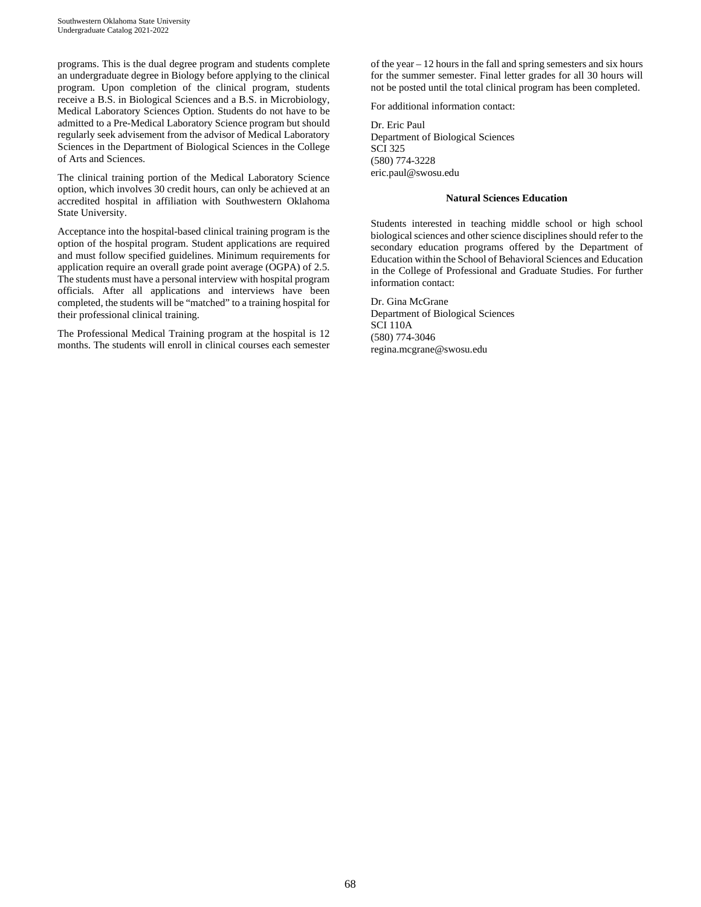programs. This is the dual degree program and students complete an undergraduate degree in Biology before applying to the clinical program. Upon completion of the clinical program, students receive a B.S. in Biological Sciences and a B.S. in Microbiology, Medical Laboratory Sciences Option. Students do not have to be admitted to a Pre-Medical Laboratory Science program but should regularly seek advisement from the advisor of Medical Laboratory Sciences in the Department of Biological Sciences in the College of Arts and Sciences.

The clinical training portion of the Medical Laboratory Science option, which involves 30 credit hours, can only be achieved at an accredited hospital in affiliation with Southwestern Oklahoma State University.

Acceptance into the hospital-based clinical training program is the option of the hospital program. Student applications are required and must follow specified guidelines. Minimum requirements for application require an overall grade point average (OGPA) of 2.5. The students must have a personal interview with hospital program officials. After all applications and interviews have been completed, the students will be "matched" to a training hospital for their professional clinical training.

The Professional Medical Training program at the hospital is 12 months. The students will enroll in clinical courses each semester of the year – 12 hours in the fall and spring semesters and six hours for the summer semester. Final letter grades for all 30 hours will not be posted until the total clinical program has been completed.

For additional information contact:

Dr. Eric Paul Department of Biological Sciences SCI 325 (580) 774-3228 eric.paul@swosu.edu

#### **Natural Sciences Education**

Students interested in teaching middle school or high school biological sciences and other science disciplines should refer to the secondary education programs offered by the Department of Education within the School of Behavioral Sciences and Education in the College of Professional and Graduate Studies. For further information contact:

Dr. Gina McGrane Department of Biological Sciences SCI 110A (580) 774-3046 regina.mcgrane@swosu.edu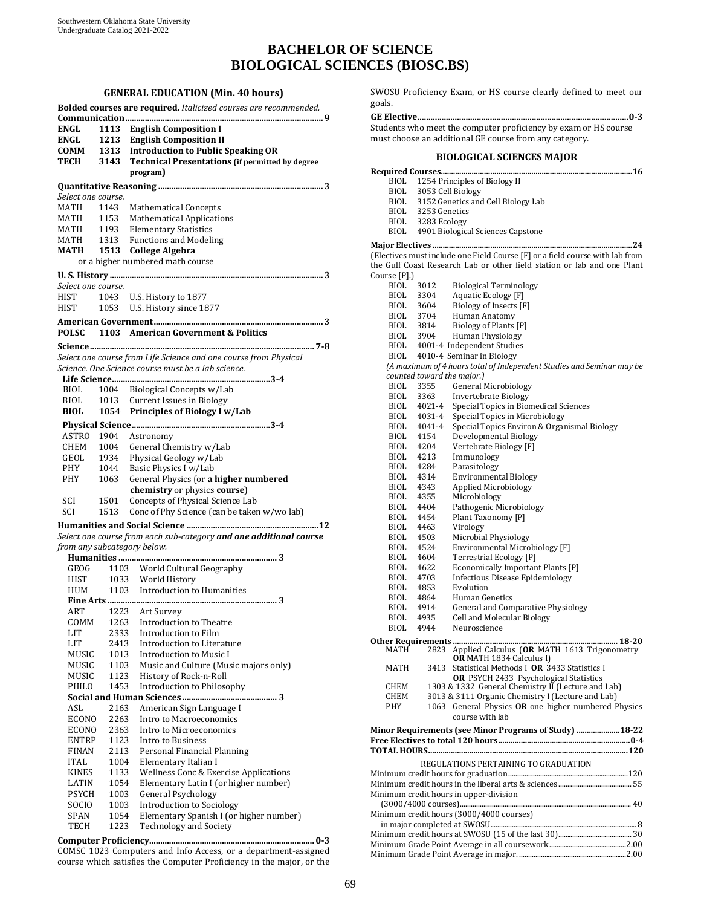# **BACHELOR OF SCIENCE BIOLOGICAL SCIENCES (BIOSC.BS)**

#### **GENERAL EDUCATION (Min. 40 hours)**

|                             |      | Bolded courses are required. Italicized courses are recommended.   |
|-----------------------------|------|--------------------------------------------------------------------|
|                             |      |                                                                    |
| <b>ENGL</b>                 | 1113 | <b>English Composition I</b>                                       |
| ENGL                        |      | 1213 English Composition II                                        |
| COMM                        |      | 1313 Introduction to Public Speaking OR                            |
| TECH                        | 3143 | <b>Technical Presentations (if permitted by degree</b>             |
|                             |      | program)                                                           |
|                             |      |                                                                    |
|                             |      |                                                                    |
| Select one course.          |      |                                                                    |
| MATH                        | 1143 | <b>Mathematical Concepts</b>                                       |
| MATH                        | 1153 | <b>Mathematical Applications</b>                                   |
| <b>MATH</b>                 | 1193 | <b>Elementary Statistics</b>                                       |
| MATH                        |      | 1313 Functions and Modeling                                        |
| MATH                        |      | 1513 College Algebra                                               |
|                             |      | or a higher numbered math course                                   |
|                             |      |                                                                    |
| Select one course.          |      |                                                                    |
| HIST                        | 1043 | U.S. History to 1877                                               |
| HIST                        |      | 1053 U.S. History since 1877                                       |
|                             |      |                                                                    |
|                             |      |                                                                    |
| <b>POLSC</b>                |      | 1103 American Government & Politics                                |
|                             |      |                                                                    |
|                             |      | Select one course from Life Science and one course from Physical   |
|                             |      | Science. One Science course must be a lab science.                 |
|                             |      |                                                                    |
| BIOL                        | 1004 | Biological Concepts w/Lab                                          |
|                             |      |                                                                    |
| BIOL                        |      | 1013 Current Issues in Biology                                     |
| <b>BIOL</b>                 |      | 1054 Principles of Biology I w/Lab                                 |
|                             |      |                                                                    |
| ASTRO 1904                  |      | Astronomy                                                          |
| CHEM                        | 1004 | General Chemistry w/Lab                                            |
| GEOL                        | 1934 | Physical Geology w/Lab                                             |
| PHY                         | 1044 | Basic Physics I w/Lab                                              |
| PHY                         | 1063 | General Physics (or a higher numbered                              |
|                             |      | chemistry or physics course)                                       |
| SCI                         |      |                                                                    |
|                             | 1501 | Concepts of Physical Science Lab                                   |
| SCI                         | 1513 | Conc of Phy Science (can be taken w/wo lab)                        |
|                             |      | 12                                                                 |
|                             |      | Select one course from each sub-category and one additional course |
| from any subcategory below. |      |                                                                    |
|                             |      |                                                                    |
|                             |      | GEOG 1103 World Cultural Geography                                 |
| HIST                        |      | 1033 World History                                                 |
| HUM                         |      | 1103 Introduction to Humanities                                    |
|                             |      |                                                                    |
| ART                         | 1223 | Art Survey                                                         |
| COMM                        | 1263 | <b>Introduction to Theatre</b>                                     |
| LIT                         | 2333 | Introduction to Film                                               |
| LIT                         | 2413 | Introduction to Literature                                         |
|                             |      | Introduction to Music I                                            |
| MUSIC                       | 1013 |                                                                    |
| MUSIC                       | 1103 | Music and Culture (Music majors only)                              |
| <b>MUSIC</b>                | 1123 | History of Rock-n-Roll                                             |
| PHILO                       | 1453 | Introduction to Philosophy                                         |
|                             |      | 3                                                                  |
| ASL                         | 2163 | American Sign Language I                                           |
| <b>ECONO</b>                | 2263 | Intro to Macroeconomics                                            |
| <b>ECONO</b>                | 2363 | Intro to Microeconomics                                            |
| ENTRP                       | 1123 | Intro to Business                                                  |
| <b>FINAN</b>                | 2113 | Personal Financial Planning                                        |
| <b>ITAL</b>                 | 1004 | Elementary Italian I                                               |
| <b>KINES</b>                | 1133 | Wellness Conc & Exercise Applications                              |
| LATIN                       | 1054 | Elementary Latin I (or higher number)                              |
| <b>PSYCH</b>                | 1003 | <b>General Psychology</b>                                          |
| SOCIO                       | 1003 | <b>Introduction to Sociology</b>                                   |
| SPAN                        | 1054 | Elementary Spanish I (or higher number)                            |
|                             |      |                                                                    |
| TECH                        | 1223 | <b>Technology and Society</b>                                      |
|                             |      |                                                                    |

COMSC 1023 Computers and Info Access, or a department-assigned course which satisfies the Computer Proficiency in the major, or the SWOSU Proficiency Exam, or HS course clearly defined to meet our goals.

#### **GE Elective................................................................................................ 0-3**  Students who meet the computer proficiency by exam or HS course must choose an additional GE course from any category.

#### **BIOLOGICAL SCIENCES MAJOR**

| BIOL                                     |                            | 1254 Principles of Biology II                                                                       |
|------------------------------------------|----------------------------|-----------------------------------------------------------------------------------------------------|
| BIOL                                     | 3053 Cell Biology          |                                                                                                     |
| BIOL                                     |                            | 3152 Genetics and Cell Biology Lab                                                                  |
|                                          | BIOL 3253 Genetics         |                                                                                                     |
| BIOL                                     | 3283 Ecology               |                                                                                                     |
| BIOL                                     |                            | 4901 Biological Sciences Capstone                                                                   |
|                                          |                            |                                                                                                     |
|                                          |                            | (Electives must include one Field Course [F] or a field course with lab from                        |
|                                          |                            | the Gulf Coast Research Lab or other field station or lab and one Plant                             |
| Course [P].)                             |                            |                                                                                                     |
| BIOL                                     | 3012                       | <b>Biological Terminology</b>                                                                       |
| <b>BIOL</b>                              | 3304                       | Aquatic Ecology [F]                                                                                 |
| BIOL                                     | 3604                       | Biology of Insects [F]                                                                              |
| BIOL                                     | 3704                       | Human Anatomy                                                                                       |
| BIOL                                     | 3814                       | Biology of Plants [P]                                                                               |
| BIOL 3904                                |                            | <b>Human Physiology</b>                                                                             |
| BIOL                                     |                            | 4001-4 Independent Studies                                                                          |
| BIOL                                     |                            | 4010-4 Seminar in Biology<br>(A maximum of 4 hours total of Independent Studies and Seminar may be  |
|                                          | counted toward the major.) |                                                                                                     |
| BIOL                                     | 3355                       | General Microbiology                                                                                |
| BIOL                                     | 3363                       | Invertebrate Biology                                                                                |
| BIOL                                     | 4021-4                     | Special Topics in Biomedical Sciences                                                               |
| BIOL                                     | 4031-4                     | Special Topics in Microbiology                                                                      |
| BIOL                                     | 4041-4                     | Special Topics Environ & Organismal Biology                                                         |
| BIOL                                     | 4154                       | Developmental Biology                                                                               |
| BIOL                                     | 4204                       | Vertebrate Biology [F]                                                                              |
| BIOL                                     | 4213                       | Immunology                                                                                          |
| BIOL                                     | 4284                       | Parasitology                                                                                        |
| BIOL                                     | 4314                       | Environmental Biology                                                                               |
| BIOL                                     | 4343                       | Applied Microbiology                                                                                |
| BIOL                                     | 4355                       | Microbiology                                                                                        |
| BIOL                                     | 4404                       | Pathogenic Microbiology                                                                             |
| <b>BIOL</b>                              | 4454                       | Plant Taxonomy [P]                                                                                  |
| <b>BIOL</b><br><b>BIOL</b>               | 4463<br>4503               | Virology<br>Microbial Physiology                                                                    |
| <b>BIOL</b>                              | 4524                       | Environmental Microbiology [F]                                                                      |
| <b>BIOL</b>                              | 4604                       | Terrestrial Ecology [P]                                                                             |
| <b>BIOL</b>                              | 4622                       | Economically Important Plants [P]                                                                   |
| BIOL                                     | 4703                       | <b>Infectious Disease Epidemiology</b>                                                              |
| BIOL                                     | 4853                       | Evolution                                                                                           |
| BIOL                                     | 4864                       | Human Genetics                                                                                      |
| BIOL                                     | 4914                       | General and Comparative Physiology                                                                  |
| BIOL                                     | 4935                       | <b>Cell and Molecular Biology</b>                                                                   |
| <b>BIOL</b>                              | 4944                       | Neuroscience                                                                                        |
| <b>Other Requirements </b>               |                            | 18-20                                                                                               |
| MATH                                     | 2823                       | Applied Calculus (OR MATH 1613 Trigonometry                                                         |
|                                          |                            | OR MATH 1834 Calculus I)                                                                            |
| MATH                                     | 3413                       | Statistical Methods I OR 3433 Statistics I                                                          |
| CHEM                                     |                            | <b>OR</b> PSYCH 2433 Psychological Statistics<br>1303 & 1332 General Chemistry II (Lecture and Lab) |
| <b>CHEM</b>                              |                            | 3013 & 3111 Organic Chemistry I (Lecture and Lab)                                                   |
| <b>PHY</b>                               | 1063                       | General Physics OR one higher numbered Physics                                                      |
|                                          |                            | course with lab                                                                                     |
|                                          |                            | Minor Requirements (see Minor Programs of Study)  18-22                                             |
|                                          |                            |                                                                                                     |
|                                          |                            |                                                                                                     |
|                                          |                            | REGULATIONS PERTAINING TO GRADUATION                                                                |
|                                          |                            |                                                                                                     |
|                                          |                            |                                                                                                     |
|                                          |                            | Minimum credit hours in upper-division                                                              |
|                                          |                            |                                                                                                     |
| Minimum credit hours (3000/4000 courses) |                            |                                                                                                     |
|                                          |                            |                                                                                                     |
|                                          |                            |                                                                                                     |
|                                          |                            |                                                                                                     |

Minimum Grade Point Average in major. ............................................................2.00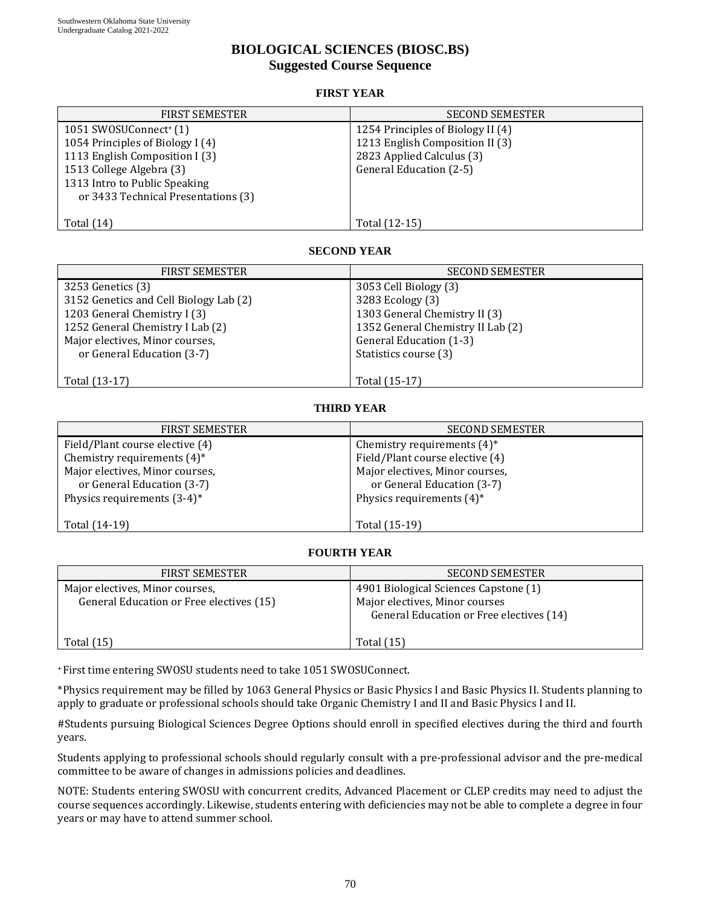## **BIOLOGICAL SCIENCES (BIOSC.BS) Suggested Course Sequence**

### **FIRST YEAR**

| <b>FIRST SEMESTER</b>               | <b>SECOND SEMESTER</b>            |
|-------------------------------------|-----------------------------------|
| 1051 SWOSUConnect <sup>+</sup> (1)  | 1254 Principles of Biology II (4) |
| 1054 Principles of Biology I (4)    | 1213 English Composition II (3)   |
| 1113 English Composition I (3)      | 2823 Applied Calculus (3)         |
| 1513 College Algebra (3)            | General Education (2-5)           |
| 1313 Intro to Public Speaking       |                                   |
| or 3433 Technical Presentations (3) |                                   |
|                                     |                                   |
| Total $(14)$                        | Total (12-15)                     |
|                                     |                                   |

### **SECOND YEAR**

| <b>FIRST SEMESTER</b>                  | <b>SECOND SEMESTER</b>            |
|----------------------------------------|-----------------------------------|
| 3253 Genetics (3)                      | 3053 Cell Biology (3)             |
| 3152 Genetics and Cell Biology Lab (2) | 3283 Ecology (3)                  |
| 1203 General Chemistry I (3)           | 1303 General Chemistry II (3)     |
| 1252 General Chemistry I Lab (2)       | 1352 General Chemistry II Lab (2) |
| Major electives, Minor courses,        | General Education (1-3)           |
| or General Education (3-7)             | Statistics course (3)             |
|                                        |                                   |
| Total (13-17)                          | Total (15-17)                     |

## **THIRD YEAR**

| <b>FIRST SEMESTER</b>           | <b>SECOND SEMESTER</b>          |
|---------------------------------|---------------------------------|
| Field/Plant course elective (4) | Chemistry requirements $(4)^*$  |
| Chemistry requirements $(4)^*$  | Field/Plant course elective (4) |
| Major electives, Minor courses, | Major electives, Minor courses, |
| or General Education (3-7)      | or General Education (3-7)      |
| Physics requirements $(3-4)^*$  | Physics requirements $(4)^*$    |
|                                 |                                 |
| Total (14-19)                   | Total (15-19)                   |

### **FOURTH YEAR**

| <b>FIRST SEMESTER</b>                                                       | <b>SECOND SEMESTER</b>                                                                                              |
|-----------------------------------------------------------------------------|---------------------------------------------------------------------------------------------------------------------|
| Major electives, Minor courses,<br>General Education or Free electives (15) | 4901 Biological Sciences Capstone (1)<br>Major electives, Minor courses<br>General Education or Free electives (14) |
| Total $(15)$                                                                | Total (15)                                                                                                          |

<sup>+</sup> First time entering SWOSU students need to take 1051 SWOSUConnect.

\* Physics requirement may be filled by 1063 General Physics or Basic Physics I and Basic Physics II. Students planning to apply to graduate or professional schools should take Organic Chemistry I and II and Basic Physics I and II.

#Students pursuing Biological Sciences Degree Options should enroll in specified electives during the third and fourth years.

Students applying to professional schools should regularly consult with a pre-professional advisor and the pre-medical committee to be aware of changes in admissions policies and deadlines.

NOTE: Students entering SWOSU with concurrent credits, Advanced Placement or CLEP credits may need to adjust the course sequences accordingly. Likewise, students entering with deficiencies may not be able to complete a degree in four years or may have to attend summer school.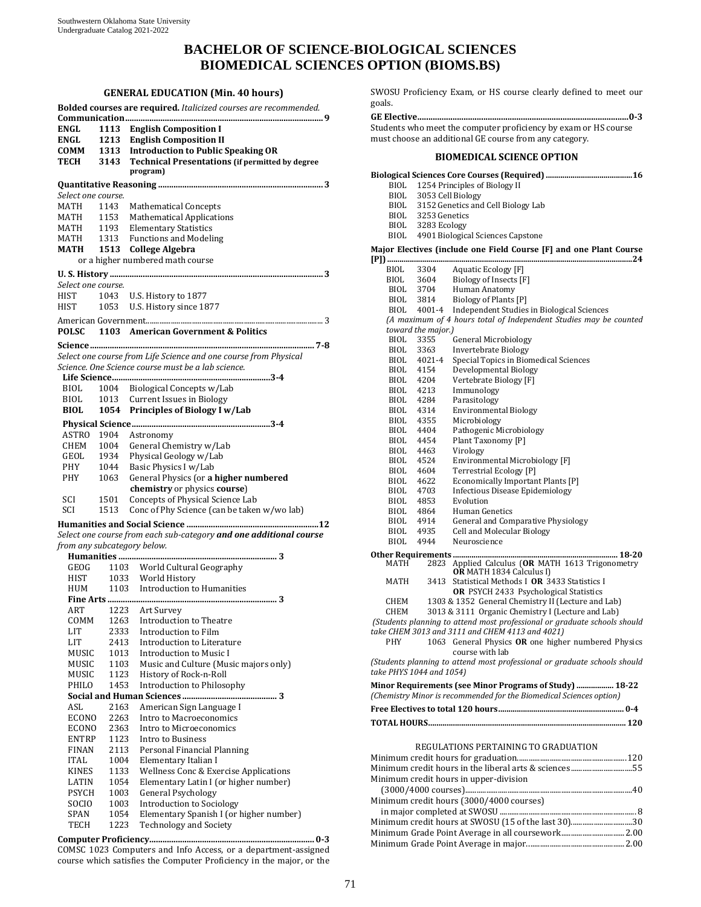# **BACHELOR OF SCIENCE-BIOLOGICAL SCIENCES BIOMEDICAL SCIENCES OPTION (BIOMS.BS)**

#### **GENERAL EDUCATION (Min. 40 hours)**

|                                            |                      | Bolded courses are required. Italicized courses are recommended.                                                                                                   |
|--------------------------------------------|----------------------|--------------------------------------------------------------------------------------------------------------------------------------------------------------------|
| ENGL<br><b>ENGL</b><br>COMM<br><b>TECH</b> | 1113<br>1213<br>3143 | <b>English Composition I</b><br><b>English Composition II</b><br>1313 Introduction to Public Speaking OR<br><b>Technical Presentations (if permitted by degree</b> |
|                                            |                      | program)                                                                                                                                                           |
|                                            |                      |                                                                                                                                                                    |
| Select one course.                         |                      |                                                                                                                                                                    |
| MATH                                       | 1143                 | <b>Mathematical Concepts</b>                                                                                                                                       |
| MATH                                       | 1153                 | <b>Mathematical Applications</b>                                                                                                                                   |
| MATH                                       |                      | 1193 Elementary Statistics<br>1313 Functions and Modeling                                                                                                          |
| MATH<br>МАТН                               |                      | 1513 College Algebra                                                                                                                                               |
|                                            |                      | or a higher numbered math course                                                                                                                                   |
|                                            |                      |                                                                                                                                                                    |
|                                            |                      |                                                                                                                                                                    |
| Select one course.                         |                      |                                                                                                                                                                    |
| HIST<br>HIST                               | 1043<br>1053         | U.S. History to 1877<br>U.S. History since 1877                                                                                                                    |
|                                            |                      |                                                                                                                                                                    |
|                                            |                      |                                                                                                                                                                    |
| <b>POLSC</b>                               |                      | 1103 American Government & Politics                                                                                                                                |
|                                            |                      |                                                                                                                                                                    |
|                                            |                      | Select one course from Life Science and one course from Physical                                                                                                   |
|                                            |                      | Science. One Science course must be a lab science.                                                                                                                 |
|                                            |                      |                                                                                                                                                                    |
| BIOL                                       |                      | 1004 Biological Concepts w/Lab                                                                                                                                     |
| BIOL<br><b>BIOL</b>                        | 1054                 | 1013 Current Issues in Biology<br><b>Principles of Biology I w/Lab</b>                                                                                             |
|                                            |                      |                                                                                                                                                                    |
|                                            |                      |                                                                                                                                                                    |
| ASTRO                                      | 1904                 | Astronomy                                                                                                                                                          |
| CHEM                                       | 1004                 | General Chemistry w/Lab                                                                                                                                            |
| GEOL<br>PHY                                | 1934                 | Physical Geology w/Lab<br>Basic Physics I w/Lab                                                                                                                    |
| PHY                                        | 1044<br>1063         | General Physics (or a higher numbered                                                                                                                              |
|                                            |                      | chemistry or physics course)                                                                                                                                       |
| SCI                                        | 1501                 | Concepts of Physical Science Lab                                                                                                                                   |
| SCI                                        | 1513                 | Conc of Phy Science (can be taken w/wo lab)                                                                                                                        |
|                                            |                      |                                                                                                                                                                    |
|                                            |                      | Select one course from each sub-category and one additional course                                                                                                 |
| from any subcategory below.                |                      |                                                                                                                                                                    |
|                                            |                      |                                                                                                                                                                    |
| GEOG                                       |                      | 1103 World Cultural Geography                                                                                                                                      |
| HIST                                       |                      |                                                                                                                                                                    |
| HUM                                        |                      | 1033 World History<br>1103 Introduction to Humanities                                                                                                              |
|                                            |                      |                                                                                                                                                                    |
| ART                                        |                      | 1223 Art Survey                                                                                                                                                    |
| COMM                                       | 1263                 | Introduction to Theatre                                                                                                                                            |
| LIT                                        | 2333                 | Introduction to Film                                                                                                                                               |
| LIT                                        | 2413                 | Introduction to Literature                                                                                                                                         |
| MUSIC                                      | 1013                 | <b>Introduction to Music I</b>                                                                                                                                     |
| MUSIC<br>MUSIC                             | 1103<br>1123         | Music and Culture (Music majors only)<br>History of Rock-n-Roll                                                                                                    |
| PHILO                                      | 1453                 | Introduction to Philosophy                                                                                                                                         |
|                                            |                      |                                                                                                                                                                    |
| ASL                                        | 2163                 | American Sign Language I                                                                                                                                           |
| ECONO                                      | 2263                 | Intro to Macroeconomics                                                                                                                                            |
| ECONO                                      | 2363                 | Intro to Microeconomics                                                                                                                                            |
| ENTRP                                      | 1123                 | Intro to Business                                                                                                                                                  |
| <b>FINAN</b>                               | 2113                 | Personal Financial Planning                                                                                                                                        |
| <b>ITAL</b>                                | 1004                 | Elementary Italian I                                                                                                                                               |
| KINES                                      | 1133                 | Wellness Conc & Exercise Applications                                                                                                                              |
| LATIN                                      | 1054                 | Elementary Latin I (or higher number)                                                                                                                              |
| <b>PSYCH</b>                               | 1003                 | <b>General Psychology</b>                                                                                                                                          |
| SOCIO                                      | 1003                 | <b>Introduction to Sociology</b>                                                                                                                                   |
| SPAN                                       | 1054<br>1223         | Elementary Spanish I (or higher number)<br><b>Technology and Society</b>                                                                                           |
| TECH                                       | mnutor Droficionar   |                                                                                                                                                                    |
|                                            |                      |                                                                                                                                                                    |

**Computer Proficiency........................................................................... 0-3**  COMSC 1023 Computers and Info Access, or a department-assigned course which satisfies the Computer Proficiency in the major, or the

SWOSU Proficiency Exam, or HS course clearly defined to meet our goals.

#### **GE Elective................................................................................................ 0-3**  Students who meet the computer proficiency by exam or HS course must choose an additional GE course from any category.

#### **BIOMEDICAL SCIENCE OPTION**

| BIOL                                                                      | 1254 Principles of Biology II      |                                                                                             |  |
|---------------------------------------------------------------------------|------------------------------------|---------------------------------------------------------------------------------------------|--|
| BIOL                                                                      | 3053 Cell Biology                  |                                                                                             |  |
| BIOL                                                                      | 3152 Genetics and Cell Biology Lab |                                                                                             |  |
|                                                                           | BIOL 3253 Genetics                 |                                                                                             |  |
|                                                                           | BIOL 3283 Ecology                  |                                                                                             |  |
| BIOL.                                                                     |                                    | 4901 Biological Sciences Capstone                                                           |  |
|                                                                           |                                    | Major Electives (include one Field Course [F] and one Plant Course                          |  |
| $[{\rm P}]$                                                               |                                    |                                                                                             |  |
| <b>BIOL</b>                                                               | 3304                               | Aquatic Ecology [F]                                                                         |  |
| BIOL                                                                      | 3604                               | Biology of Insects [F]                                                                      |  |
| BIOL 3704                                                                 |                                    | Human Anatomy                                                                               |  |
| BIOL                                                                      | 3814                               | Biology of Plants [P]                                                                       |  |
| BIOL                                                                      | 4001-4                             | Independent Studies in Biological Sciences                                                  |  |
|                                                                           |                                    | (A maximum of 4 hours total of Independent Studies may be counted                           |  |
|                                                                           | toward the major.)                 |                                                                                             |  |
| BIOL                                                                      | 3355                               | General Microbiology                                                                        |  |
| BIOL                                                                      | 3363                               | Invertebrate Biology                                                                        |  |
|                                                                           | BIOL 4021-4                        | Special Topics in Biomedical Sciences                                                       |  |
| BIOL                                                                      | 4154                               | Developmental Biology                                                                       |  |
| BIOL                                                                      | 4204                               | Vertebrate Biology [F]                                                                      |  |
| BIOL 4213                                                                 |                                    | Immunology                                                                                  |  |
| BIOL                                                                      | 4284                               | Parasitology                                                                                |  |
| BIOL 4314                                                                 |                                    | <b>Environmental Biology</b>                                                                |  |
| BIOL                                                                      | 4355                               | Microbiology                                                                                |  |
| BIOL 4404                                                                 |                                    | Pathogenic Microbiology                                                                     |  |
| BIOL                                                                      | 4454                               | Plant Taxonomy [P]                                                                          |  |
| BIOL 4463                                                                 |                                    | Virology                                                                                    |  |
| BIOL                                                                      | 4524                               | Environmental Microbiology [F]                                                              |  |
| BIOL 4604                                                                 |                                    | <b>Terrestrial Ecology [P]</b>                                                              |  |
| BIOL                                                                      | 4622                               | Economically Important Plants [P]                                                           |  |
| BIOL 4703                                                                 |                                    | Infectious Disease Epidemiology                                                             |  |
| BIOL                                                                      | 4853                               | Evolution                                                                                   |  |
| BIOL 4864                                                                 |                                    | Human Genetics                                                                              |  |
| BIOL 4914                                                                 |                                    | General and Comparative Physiology                                                          |  |
| BIOL                                                                      | 4935                               | <b>Cell and Molecular Biology</b>                                                           |  |
| BIOL                                                                      | 4944                               | Neuroscience                                                                                |  |
|                                                                           |                                    |                                                                                             |  |
| MATH                                                                      | 2823                               | Applied Calculus (OR MATH 1613 Trigonometry                                                 |  |
|                                                                           |                                    | <b>OR</b> MATH 1834 Calculus I)                                                             |  |
| MATH                                                                      | 3413                               | Statistical Methods I OR 3433 Statistics I<br><b>OR</b> PSYCH 2433 Psychological Statistics |  |
| CHEM                                                                      |                                    | 1303 & 1352 General Chemistry II (Lecture and Lab)                                          |  |
| CHEM                                                                      |                                    | 3013 & 3111 Organic Chemistry I (Lecture and Lab)                                           |  |
| (Students planning to attend most professional or graduate schools should |                                    |                                                                                             |  |
|                                                                           |                                    | take CHEM 3013 and 3111 and CHEM 4113 and 4021)                                             |  |
| <b>PHY</b>                                                                | 1063                               | General Physics OR one higher numbered Physics                                              |  |
|                                                                           |                                    | course with lab                                                                             |  |
| (Students planning to attend most professional or graduate schools should |                                    |                                                                                             |  |
| take PHYS 1044 and 1054)                                                  |                                    |                                                                                             |  |
| Minor Requirements (see Minor Programs of Study)  18-22                   |                                    |                                                                                             |  |
|                                                                           |                                    | (Chemistry Minor is recommended for the Biomedical Sciences option)                         |  |
|                                                                           |                                    |                                                                                             |  |
|                                                                           |                                    |                                                                                             |  |
|                                                                           |                                    |                                                                                             |  |
|                                                                           |                                    | REGULATIONS PERTAINING TO GRADUATION                                                        |  |
|                                                                           |                                    |                                                                                             |  |
|                                                                           |                                    | Minimum credit hours in the liberal arts & sciences55                                       |  |
| Minimum credit hours in upper-division                                    |                                    |                                                                                             |  |
|                                                                           |                                    |                                                                                             |  |
|                                                                           |                                    | Minimum credit hours (3000/4000 courses)                                                    |  |
|                                                                           |                                    |                                                                                             |  |
|                                                                           |                                    | Minimum credit hours at SWOSU (15 of the last 30)30                                         |  |
|                                                                           |                                    |                                                                                             |  |

Minimum Grade Point Average in all coursework................................. 2.00 Minimum Grade Point Average in major...................................................2.00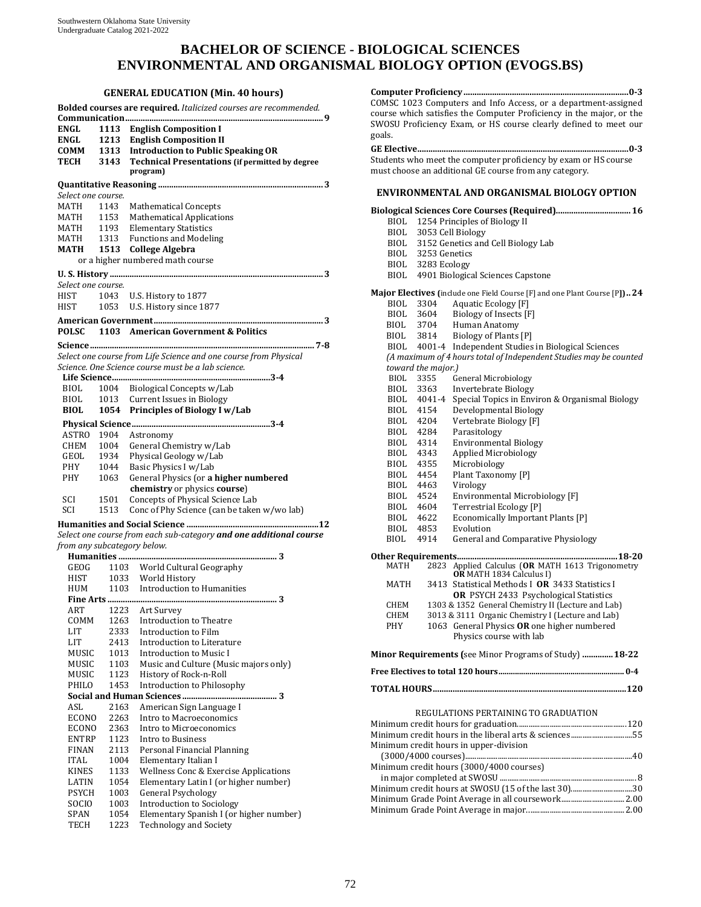# **BACHELOR OF SCIENCE - BIOLOGICAL SCIENCES ENVIRONMENTAL AND ORGANISMAL BIOLOGY OPTION (EVOGS.BS)**

#### **GENERAL EDUCATION (Min. 40 hours)**

|                             |      | Bolded courses are required. Italicized courses are recommended.   |
|-----------------------------|------|--------------------------------------------------------------------|
|                             |      |                                                                    |
| ENGL                        | 1113 | <b>English Composition I</b>                                       |
| <b>ENGL</b>                 | 1213 | <b>English Composition II</b>                                      |
| COMM                        |      | 1313 Introduction to Public Speaking OR                            |
| <b>TECH</b>                 | 3143 | <b>Technical Presentations (if permitted by degree</b>             |
|                             |      | program)                                                           |
|                             |      |                                                                    |
| Select one course.          |      |                                                                    |
| MATH                        | 1143 | <b>Mathematical Concepts</b>                                       |
| MATH                        | 1153 | <b>Mathematical Applications</b>                                   |
| <b>MATH</b>                 |      | 1193 Elementary Statistics                                         |
| MATH                        |      | 1313 Functions and Modeling                                        |
| MATH                        | 1513 | <b>College Algebra</b>                                             |
|                             |      | or a higher numbered math course                                   |
|                             |      |                                                                    |
| Select one course.          |      |                                                                    |
| HIST                        | 1043 | U.S. History to 1877                                               |
|                             |      | U.S. History since 1877                                            |
| HIST                        | 1053 |                                                                    |
|                             |      |                                                                    |
| <b>POLSC</b>                |      | 1103 American Government & Politics                                |
|                             |      |                                                                    |
|                             |      | Select one course from Life Science and one course from Physical   |
|                             |      | Science. One Science course must be a lab science.                 |
|                             |      |                                                                    |
| BIOL                        |      | 1004 Biological Concepts w/Lab                                     |
| BIOL                        |      | 1013 Current Issues in Biology                                     |
| <b>BIOL</b>                 | 1054 | <b>Principles of Biology I w/Lab</b>                               |
|                             |      |                                                                    |
|                             |      |                                                                    |
| <b>ASTRO</b>                | 1904 | Astronomy                                                          |
| CHEM                        | 1004 | General Chemistry w/Lab                                            |
| GEOL                        | 1934 | Physical Geology w/Lab                                             |
| PHY                         | 1044 | Basic Physics I w/Lab                                              |
| PHY                         | 1063 | General Physics (or a higher numbered                              |
|                             |      | chemistry or physics course)                                       |
| SCI                         | 1501 | Concepts of Physical Science Lab                                   |
| SCI                         | 1513 | Conc of Phy Science (can be taken w/wo lab)                        |
|                             |      |                                                                    |
|                             |      | Select one course from each sub-category and one additional course |
| from any subcategory below. |      |                                                                    |
|                             |      |                                                                    |
| GEOG                        |      | 1103 World Cultural Geography                                      |
| HIST                        |      |                                                                    |
| HUM                         |      | 1033 World History<br>1103 Introduction to Humanities              |
|                             |      |                                                                    |
| ART                         | 1223 | Art Survey                                                         |
| COMM                        | 1263 | Introduction to Theatre                                            |
| LIT                         | 2333 | Introduction to Film                                               |
| LIT                         | 2413 | Introduction to Literature                                         |
| MUSIC                       | 1013 | <b>Introduction to Music I</b>                                     |
| MUSIC                       | 1103 | Music and Culture (Music majors only)                              |
| MUSIC                       | 1123 | History of Rock-n-Roll                                             |
| PHILO                       | 1453 | Introduction to Philosophy                                         |
|                             |      |                                                                    |
| ASL                         | 2163 | American Sign Language I                                           |
| ECONO                       | 2263 | Intro to Macroeconomics                                            |
| <b>ECONO</b>                | 2363 | Intro to Microeconomics                                            |
| ENTRP                       | 1123 | Intro to Business                                                  |
| FINAN                       | 2113 | Personal Financial Planning                                        |
| <b>ITAL</b>                 | 1004 | Elementary Italian I                                               |
|                             |      |                                                                    |
| <b>KINES</b>                | 1133 | Wellness Conc & Exercise Applications                              |
| LATIN                       | 1054 | Elementary Latin I (or higher number)                              |
| <b>PSYCH</b>                | 1003 | <b>General Psychology</b>                                          |
| SOCIO                       | 1003 | <b>Introduction to Sociology</b>                                   |
| SPAN                        | 1054 | Elementary Spanish I (or higher number)                            |
| TECH                        | 1223 | <b>Technology and Society</b>                                      |

**Computer Proficiency........................................................................... 0-3**  COMSC 1023 Computers and Info Access, or a department-assigned course which satisfies the Computer Proficiency in the major, or the SWOSU Proficiency Exam, or HS course clearly defined to meet our goals. **GE Elective................................................................................................ 0-3**  Students who meet the computer proficiency by exam or HS course must choose an additional GE course from any category. **ENVIRONMENTAL AND ORGANISMAL BIOLOGY OPTION Biological Sciences Core Courses (Required)..................................16** BIOL 1254 Principles of Biology II BIOL 3053 Cell Biology BIOL 3152 Genetics and Cell Biology Lab 3253 Genetics BIOL 3283 Ecology BIOL 4901 Biological Sciences Capstone **Major Electives (**include one Field Course [F] and one Plant Course [P**]) ..24** BIOL 3304 Aquatic Ecology [F]<br>BIOL 3604 Biology of Insects [F BIOL 3604 Biology of Insects [F]<br>BIOL 3704 Human Anatomy BIOL 3704 Human Anatomy<br>BIOL 3814 Biology of Plants Biology of Plants [P] BIOL 4001-4 Independent Studies in Biological Sciences *(A maximum of 4 hours total of Independent Studies may be counted* 

BIOL 4041-4 Special Topics in Environ & Organismal Biology

*toward the major.)*

BIOL 3355 General Microbiology<br>BIOL 3363 Invertebrate Biology BIOL 3363 Invertebrate Biology<br>BIOL 4041-4 Special Topics in Env

BIOL 4154 Developmental Biology<br>BIOL 4204 Vertebrate Biology [F] BIOL 4204 Vertebrate Biology [F]<br>BIOL 4284 Parasitology BIOL 4284 Parasitology BIOL 4314 Environmental Biology<br>BIOL 4343 Applied Microbiology BIOL 4343 Applied Microbiology<br>BIOL 4355 Microbiology BIOL 4355 Microbiology<br>BIOL 4454 Plant Taxonor

BIOL 4463<br>BIOL 4524 BIOL 4524 Environmental Microbiology [F]<br>BIOL 4604 Terrestrial Ecology [P] BIOL 4604 Terrestrial Ecology [P]<br>BIOL 4622 Economically Importar Economically Important Plants [P]<br>Evolution BIOL 4853<br>BIOL 4914 General and Comparative Physiology **Other Requirements.........................................................................18-20** MATH 2823 Applied Calculus (**OR** MATH 1613 Trigonometry **OR** MATH 1834 Calculus I) MATH 3413 Statistical Methods I **OR** 3433 Statistics I **OR** PSYCH 2433 Psychological Statistics CHEM 1303 & 1352 General Chemistry II (Lecture and Lab)<br>CHEM 3013 & 3111 Organic Chemistry I (Lecture and Lab) CHEM 3013 & 3111 Organic Chemistry I (Lecture and Lab)<br>PHY 1063 General Physics **OR** one higher numbered 1063 General Physics OR one higher numbered Physics course with lab **Minor Requirements (**see Minor Programs of Study)**..............18-22 Free Electives to total 120 hours............................................................. 0-4 TOTAL HOURS........................................................................................120** REGULATIONS PERTAINING TO GRADUATION

Plant Taxonomy [P]<br>Virology

#### Minimum credit hours for graduation.........................................................120 Minimum credit hours in the liberal arts & sciences................................55 Minimum credit hours in upper-division (3000/4000 courses).......................................................................................40 Minimum credit hours (3000/4000 courses) in major completed at SWOSU ....................................................................... 8 Minimum credit hours at SWOSU (15 of the last 30)................................30 Minimum Grade Point Average in all coursework................................. 2.00 Minimum Grade Point Average in major...................................................2.00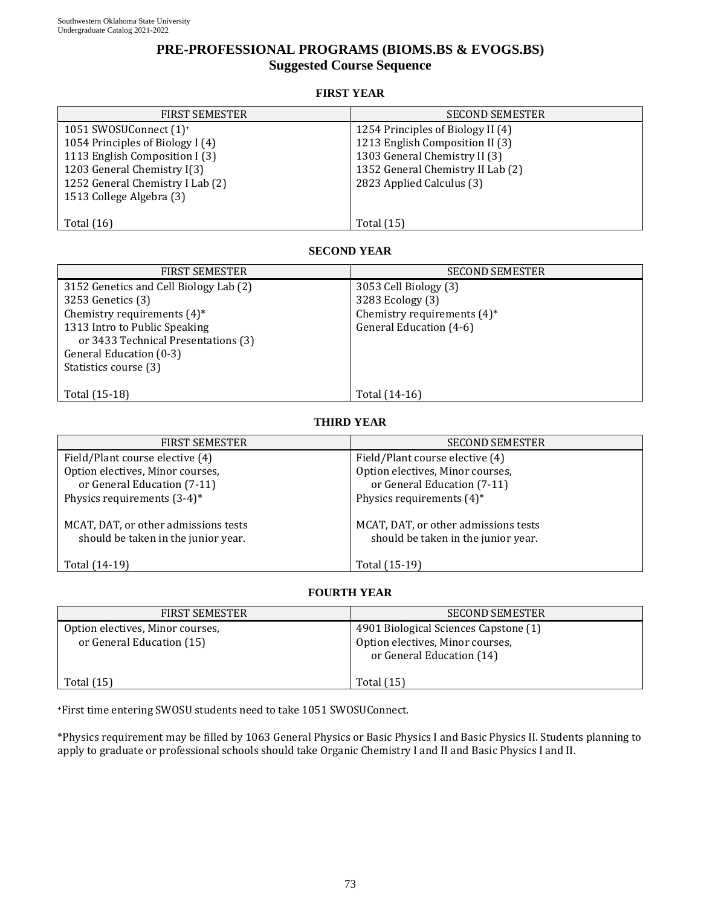# **PRE-PROFESSIONAL PROGRAMS (BIOMS.BS & EVOGS.BS) Suggested Course Sequence**

#### **FIRST YEAR**

| <b>FIRST SEMESTER</b>              | <b>SECOND SEMESTER</b>            |
|------------------------------------|-----------------------------------|
| 1051 SWOSUConnect (1) <sup>+</sup> | 1254 Principles of Biology II (4) |
| 1054 Principles of Biology I (4)   | 1213 English Composition II (3)   |
| 1113 English Composition I (3)     | 1303 General Chemistry II (3)     |
| 1203 General Chemistry I(3)        | 1352 General Chemistry II Lab (2) |
| 1252 General Chemistry I Lab (2)   | 2823 Applied Calculus (3)         |
| 1513 College Algebra (3)           |                                   |
|                                    |                                   |
| Total $(16)$                       | <b>Total</b> (15)                 |

### **SECOND YEAR**

| <b>FIRST SEMESTER</b>                                                                                                                                                                            | <b>SECOND SEMESTER</b>                                                                                 |
|--------------------------------------------------------------------------------------------------------------------------------------------------------------------------------------------------|--------------------------------------------------------------------------------------------------------|
| 3152 Genetics and Cell Biology Lab (2)<br>3253 Genetics (3)<br>Chemistry requirements $(4)^*$<br>1313 Intro to Public Speaking<br>or 3433 Technical Presentations (3)<br>General Education (0-3) | 3053 Cell Biology (3)<br>3283 Ecology (3)<br>Chemistry requirements $(4)^*$<br>General Education (4-6) |
| Statistics course (3)<br>Total (15-18)                                                                                                                                                           | Total (14-16)                                                                                          |

## **THIRD YEAR**

| <b>FIRST SEMESTER</b>                                                       | <b>SECOND SEMESTER</b>                                                      |
|-----------------------------------------------------------------------------|-----------------------------------------------------------------------------|
| Field/Plant course elective (4)                                             | Field/Plant course elective (4)                                             |
| Option electives, Minor courses,                                            | Option electives, Minor courses,                                            |
| or General Education (7-11)                                                 | or General Education (7-11)                                                 |
| Physics requirements $(3-4)^*$                                              | Physics requirements $(4)^*$                                                |
| MCAT, DAT, or other admissions tests<br>should be taken in the junior year. | MCAT, DAT, or other admissions tests<br>should be taken in the junior year. |
| Total (14-19)                                                               | Total (15-19)                                                               |

## **FOURTH YEAR**

| <b>FIRST SEMESTER</b>                                         | <b>SECOND SEMESTER</b>                                                                                 |
|---------------------------------------------------------------|--------------------------------------------------------------------------------------------------------|
| Option electives, Minor courses,<br>or General Education (15) | 4901 Biological Sciences Capstone (1)<br>Option electives, Minor courses,<br>or General Education (14) |
| Total $(15)$                                                  | <b>Total</b> (15)                                                                                      |

+First time entering SWOSU students need to take 1051 SWOSUConnect.

\*Physics requirement may be filled by 1063 General Physics or Basic Physics I and Basic Physics II. Students planning to apply to graduate or professional schools should take Organic Chemistry I and II and Basic Physics I and II.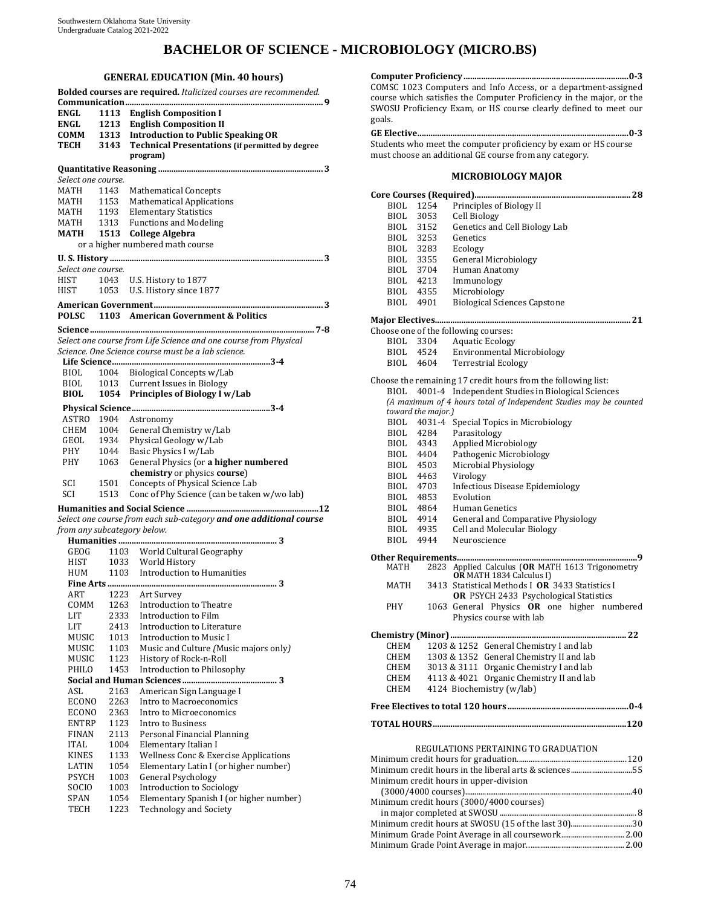# **BACHELOR OF SCIENCE - MICROBIOLOGY (MICRO.BS)**

### **GENERAL EDUCATION (Min. 40 hours)**

|                             |      | Bolded courses are required. Italicized courses are recommended.   |
|-----------------------------|------|--------------------------------------------------------------------|
|                             |      |                                                                    |
| <b>ENGL</b>                 | 1113 | <b>English Composition I</b>                                       |
| ENGL                        | 1213 | <b>English Composition II</b>                                      |
| COMM                        |      | 1313 Introduction to Public Speaking OR                            |
| TECH                        | 3143 | <b>Technical Presentations (if permitted by degree</b>             |
|                             |      | program)                                                           |
|                             |      |                                                                    |
| Select one course.          |      |                                                                    |
| MATH                        | 1143 | <b>Mathematical Concepts</b>                                       |
| MATH                        | 1153 | <b>Mathematical Applications</b>                                   |
| MATH                        | 1193 | <b>Elementary Statistics</b>                                       |
| MATH                        | 1313 | <b>Functions and Modeling</b>                                      |
| МАТН                        | 1513 | <b>College Algebra</b>                                             |
|                             |      | or a higher numbered math course                                   |
|                             |      |                                                                    |
|                             |      |                                                                    |
| Select one course.          |      |                                                                    |
| HIST                        | 1043 | U.S. History to 1877                                               |
| HIST                        | 1053 | U.S. History since 1877                                            |
|                             |      |                                                                    |
| <b>POLSC</b>                |      | 1103 American Government & Politics                                |
|                             |      |                                                                    |
|                             |      | Select one course from Life Science and one course from Physical   |
|                             |      | Science. One Science course must be a lab science.                 |
|                             |      |                                                                    |
| BIOL                        | 1004 | Biological Concepts w/Lab                                          |
| BIOL                        | 1013 | <b>Current Issues in Biology</b>                                   |
| <b>BIOL</b>                 | 1054 | <b>Principles of Biology I w/Lab</b>                               |
|                             |      |                                                                    |
| <b>ASTRO</b>                |      |                                                                    |
|                             | 1904 | Astronomy                                                          |
| CHEM                        | 1004 | General Chemistry w/Lab                                            |
| GEOL                        | 1934 | Physical Geology w/Lab                                             |
| PHY                         | 1044 | Basic Physics I w/Lab                                              |
| PHY                         | 1063 | General Physics (or a higher numbered                              |
|                             |      | chemistry or physics course)                                       |
| SCI                         | 1501 | Concepts of Physical Science Lab                                   |
| SCI                         | 1513 | Conc of Phy Science (can be taken w/wo lab)                        |
|                             |      |                                                                    |
|                             |      | Select one course from each sub-category and one additional course |
| from any subcategory below. |      |                                                                    |
|                             |      |                                                                    |
| GEOG                        |      | 1103 World Cultural Geography                                      |
| HIST                        |      | 1033 World History<br>1103 Introduction to Humanities              |
| <b>HUM</b>                  |      |                                                                    |
|                             |      |                                                                    |
| <b>ART</b>                  |      | 1223 Art Survey                                                    |
| COMM                        | 1263 | Introduction to Theatre                                            |
| LIT                         | 2333 | Introduction to Film                                               |
| LIT                         | 2413 | Introduction to Literature                                         |
| MUSIC                       | 1013 | Introduction to Music I                                            |
| MUSIC                       | 1103 | Music and Culture (Music majors only)                              |
| MUSIC                       | 1123 | History of Rock-n-Roll                                             |
| PHILO                       | 1453 | Introduction to Philosophy                                         |
|                             |      |                                                                    |
| ASL                         | 2163 | American Sign Language I                                           |
| <b>ECONO</b>                | 2263 | Intro to Macroeconomics                                            |
| ECONO                       | 2363 | Intro to Microeconomics                                            |
| <b>ENTRP</b>                | 1123 | Intro to Business                                                  |
| <b>FINAN</b>                | 2113 | Personal Financial Planning                                        |
| <b>ITAL</b>                 | 1004 | Elementary Italian I                                               |
| <b>KINES</b>                | 1133 | Wellness Conc & Exercise Applications                              |
| LATIN                       | 1054 | Elementary Latin I (or higher number)                              |
| PSYCH                       | 1003 | <b>General Psychology</b>                                          |
| SOCIO                       | 1003 | <b>Introduction to Sociology</b>                                   |
| SPAN                        | 1054 | Elementary Spanish I (or higher number)                            |
| <b>TECH</b>                 | 1223 | <b>Technology and Society</b>                                      |
|                             |      |                                                                    |

**Computer Proficiency........................................................................... 0-3**  COMSC 1023 Computers and Info Access, or a department-assigned course which satisfies the Computer Proficiency in the major, or the SWOSU Proficiency Exam, or HS course clearly defined to meet our goals. **GE Elective................................................................................................ 0-3** 

Students who meet the computer proficiency by exam or HS course must choose an additional GE course from any category.

### **MICROBIOLOGY MAJOR**

| BIOL      | 1254               | Principles of Biology II                                                                  |
|-----------|--------------------|-------------------------------------------------------------------------------------------|
| BIOL      | 3053               | Cell Biology                                                                              |
| BIOL      | 3152               | Genetics and Cell Biology Lab                                                             |
| BIOL      | 3253               | Genetics                                                                                  |
| BIOL 3283 |                    | Ecology                                                                                   |
| BIOL      | 3355               | <b>General Microbiology</b>                                                               |
| BIOL 3704 |                    | Human Anatomy                                                                             |
| BIOL 4213 |                    | Immunology                                                                                |
| BIOL 4355 |                    | Microbiology                                                                              |
| BIOL 4901 |                    | <b>Biological Sciences Capstone</b>                                                       |
|           |                    |                                                                                           |
|           |                    | Choose one of the following courses:                                                      |
| BIOL      | 3304               | <b>Aquatic Ecology</b>                                                                    |
|           | BIOL 4524          | <b>Environmental Microbiology</b>                                                         |
|           | BIOL 4604          | <b>Terrestrial Ecology</b>                                                                |
|           |                    | Choose the remaining 17 credit hours from the following list:                             |
| BIOL      | 4001-4             | Independent Studies in Biological Sciences                                                |
|           |                    | (A maximum of 4 hours total of Independent Studies may be counted                         |
|           | toward the major.) |                                                                                           |
|           | BIOL 4031-4        | Special Topics in Microbiology                                                            |
| BIOL 4284 |                    | Parasitology                                                                              |
| BIOL 4343 |                    | <b>Applied Microbiology</b>                                                               |
| BIOL 4404 |                    | Pathogenic Microbiology                                                                   |
| BIOL 4503 |                    | Microbial Physiology                                                                      |
|           |                    | Virology                                                                                  |
| BIOL 4463 |                    | Infectious Disease Epidemiology                                                           |
| BIOL 4703 |                    |                                                                                           |
| BIOL 4853 |                    | Evolution                                                                                 |
| BIOL 4864 |                    | Human Genetics                                                                            |
| BIOL 4914 |                    | General and Comparative Physiology                                                        |
| BIOL 4935 |                    | <b>Cell and Molecular Biology</b>                                                         |
| BIOL      | 4944               | Neuroscience                                                                              |
|           |                    |                                                                                           |
| MATH      | 2823               | Applied Calculus (OR MATH 1613 Trigonometry<br><b>OR</b> MATH 1834 Calculus I)            |
| MATH      |                    | 3413 Statistical Methods I OR 3433 Statistics I<br>OR PSYCH 2433 Psychological Statistics |
| PHY       |                    |                                                                                           |
|           |                    | 1063 General Physics OR one higher numbered<br>Physics course with lab                    |
|           |                    |                                                                                           |
|           |                    |                                                                                           |
| CHEM      |                    | 1203 & 1252 General Chemistry I and lab                                                   |
| CHEM      |                    | 1303 & 1352 General Chemistry II and lab                                                  |
| CHEM      |                    | 3013 & 3111 Organic Chemistry I and lab                                                   |
| CHEM      |                    | 4113 & 4021 Organic Chemistry II and lab                                                  |
| CHEM      |                    | 4124 Biochemistry (w/lab)                                                                 |
|           |                    |                                                                                           |
|           |                    |                                                                                           |
|           |                    | REGULATIONS PERTAINING TO GRADUATION                                                      |
|           |                    |                                                                                           |
|           |                    | Minimum credit hours in the liberal arts & sciences55                                     |
|           |                    | Minimum credit hours in upper-division                                                    |
|           |                    |                                                                                           |
|           |                    | Minimum credit hours (3000/4000 courses)                                                  |
|           |                    |                                                                                           |
|           |                    | Minimum credit hours at SWOSU (15 of the last 30)30                                       |
|           |                    | Minimum Grade Point Average in all coursework 2.00                                        |
|           |                    |                                                                                           |

Minimum Grade Point Average in major...................................................2.00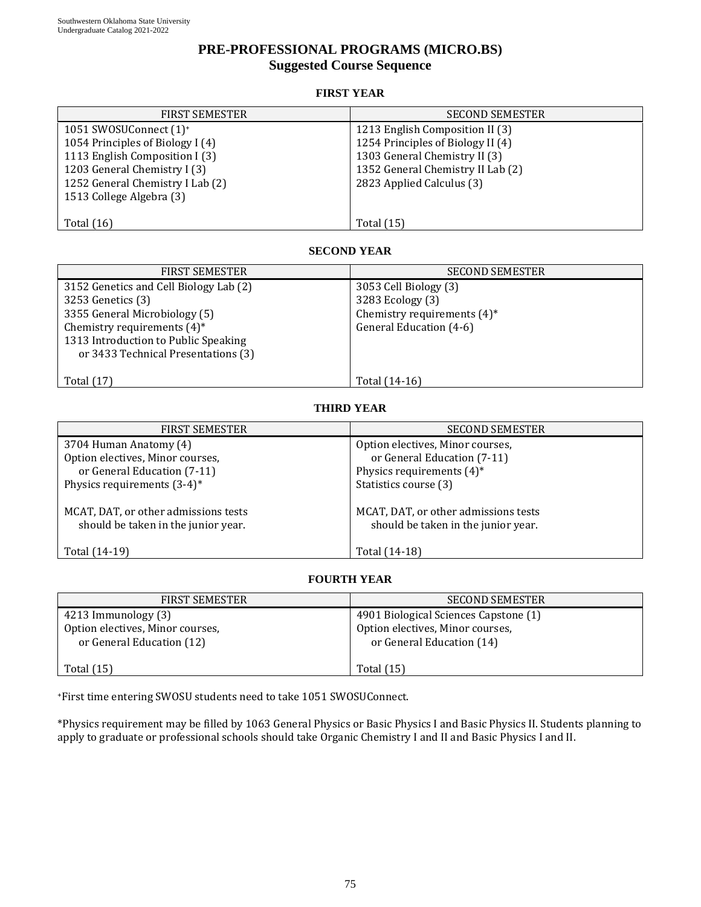# **PRE-PROFESSIONAL PROGRAMS (MICRO.BS) Suggested Course Sequence**

## **FIRST YEAR**

| <b>FIRST SEMESTER</b>                           | <b>SECOND SEMESTER</b>            |  |  |  |
|-------------------------------------------------|-----------------------------------|--|--|--|
| 1051 SWOSUConnect (1) <sup>+</sup>              | 1213 English Composition II (3)   |  |  |  |
| 1054 Principles of Biology I (4)                | 1254 Principles of Biology II (4) |  |  |  |
| 1113 English Composition I (3)                  | 1303 General Chemistry II (3)     |  |  |  |
| 1203 General Chemistry I (3)                    | 1352 General Chemistry II Lab (2) |  |  |  |
| 1252 General Chemistry I Lab (2)                | 2823 Applied Calculus (3)         |  |  |  |
| 1513 College Algebra (3)                        |                                   |  |  |  |
|                                                 |                                   |  |  |  |
| Total $(16)$                                    | Total $(15)$                      |  |  |  |
|                                                 |                                   |  |  |  |
| <b>SECOND YEAR</b>                              |                                   |  |  |  |
| <b>FIRST SEMESTER</b><br><b>SECOND SEMESTER</b> |                                   |  |  |  |
| 3152 Genetics and Cell Biology Lab (2)          | 3053 Cell Biology (3)             |  |  |  |
| 3253 Genetics (3)                               | 3283 Ecology (3)                  |  |  |  |
| 3355 General Microbiology (5)                   | Chemistry requirements (4)*       |  |  |  |
| Chemistry requirements $(4)^*$                  | General Education (4-6)           |  |  |  |
| 1313 Introduction to Public Speaking            |                                   |  |  |  |
| or 3433 Technical Presentations (3)             |                                   |  |  |  |
|                                                 |                                   |  |  |  |
| Total $(17)$                                    | Total (14-16)                     |  |  |  |
|                                                 |                                   |  |  |  |
|                                                 | <b>THIRD YEAR</b>                 |  |  |  |
| <b>FIRST SEMESTER</b>                           | <b>SECOND SEMESTER</b>            |  |  |  |
|                                                 |                                   |  |  |  |

| FIRST SEMESTER                                                              | <b>SECOND SEMESTER</b>                                                      |
|-----------------------------------------------------------------------------|-----------------------------------------------------------------------------|
| 3704 Human Anatomy (4)                                                      | Option electives, Minor courses,                                            |
| Option electives, Minor courses,                                            | or General Education (7-11)                                                 |
| or General Education (7-11)                                                 | Physics requirements $(4)^*$                                                |
| Physics requirements $(3-4)^*$                                              | Statistics course (3)                                                       |
| MCAT, DAT, or other admissions tests<br>should be taken in the junior year. | MCAT, DAT, or other admissions tests<br>should be taken in the junior year. |
| Total (14-19)                                                               | Total (14-18)                                                               |

# **FOURTH YEAR**

| <b>FIRST SEMESTER</b>                                                                | <b>SECOND SEMESTER</b>                                                                                 |
|--------------------------------------------------------------------------------------|--------------------------------------------------------------------------------------------------------|
| 4213 Immunology (3)<br>Option electives, Minor courses,<br>or General Education (12) | 4901 Biological Sciences Capstone (1)<br>Option electives, Minor courses,<br>or General Education (14) |
| Total $(15)$                                                                         | Total $(15)$                                                                                           |

+First time entering SWOSU students need to take 1051 SWOSUConnect.

\*Physics requirement may be filled by 1063 General Physics or Basic Physics I and Basic Physics II. Students planning to apply to graduate or professional schools should take Organic Chemistry I and II and Basic Physics I and II.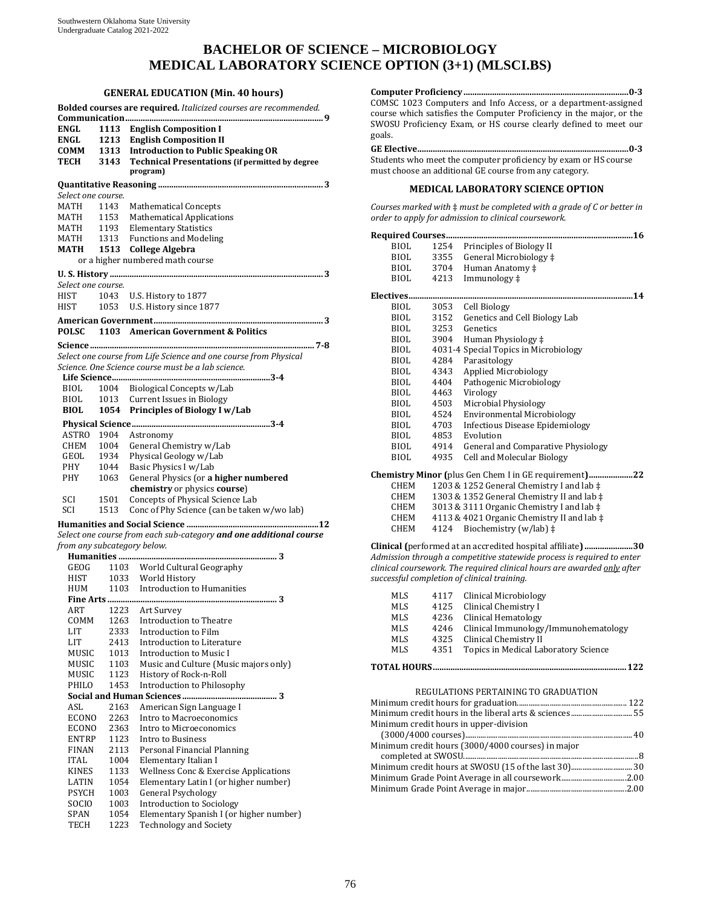# **BACHELOR OF SCIENCE – MICROBIOLOGY MEDICAL LABORATORY SCIENCE OPTION (3+1) (MLSCI.BS)**

#### **GENERAL EDUCATION (Min. 40 hours)**

|                             |              | Bolded courses are required. Italicized courses are recommended.         |
|-----------------------------|--------------|--------------------------------------------------------------------------|
|                             |              |                                                                          |
| <b>ENGL</b>                 | 1113         | <b>English Composition I</b>                                             |
| ENGL                        | 1213         | <b>English Composition II</b>                                            |
| СОММ                        |              | 1313 Introduction to Public Speaking OR                                  |
| TECH                        | 3143         | <b>Technical Presentations (if permitted by degree</b>                   |
|                             |              | program)                                                                 |
|                             |              |                                                                          |
|                             |              |                                                                          |
| Select one course.          |              |                                                                          |
| MATH                        | 1143         | <b>Mathematical Concepts</b>                                             |
| MATH                        | 1153         | <b>Mathematical Applications</b>                                         |
| MATH                        | 1193         | <b>Elementary Statistics</b>                                             |
| MATH                        | 1313         | <b>Functions and Modeling</b>                                            |
| MATH                        | 1513         | <b>College Algebra</b>                                                   |
|                             |              | or a higher numbered math course                                         |
|                             |              |                                                                          |
| Select one course.          |              |                                                                          |
| HIST                        | 1043         | U.S. History to 1877                                                     |
| HIST                        | 1053         | U.S. History since 1877                                                  |
|                             |              |                                                                          |
|                             |              |                                                                          |
| <b>POLSC</b>                |              | 1103 American Government & Politics                                      |
|                             |              |                                                                          |
|                             |              | Select one course from Life Science and one course from Physical         |
|                             |              | Science. One Science course must be a lab science.                       |
|                             |              |                                                                          |
| BIOL                        | 1004         | Biological Concepts w/Lab                                                |
| <b>BIOL</b>                 | 1013         | <b>Current Issues in Biology</b>                                         |
| <b>BIOL</b>                 | 1054         | <b>Principles of Biology I w/Lab</b>                                     |
|                             |              |                                                                          |
|                             |              |                                                                          |
| ASTRO 1904                  |              | Astronomy                                                                |
| CHEM                        | 1004         | General Chemistry w/Lab                                                  |
| GEOL                        | 1934         | Physical Geology w/Lab                                                   |
| PHY                         | 1044         | Basic Physics I w/Lab                                                    |
| PHY                         | 1063         | General Physics (or a higher numbered                                    |
|                             |              | chemistry or physics course)                                             |
| SCI                         | 1501         | Concepts of Physical Science Lab                                         |
| SCI                         | 1513         | Conc of Phy Science (can be taken w/wo lab)                              |
|                             |              |                                                                          |
|                             |              |                                                                          |
|                             |              | Select one course from each sub-category and one additional course       |
| from any subcategory below. |              |                                                                          |
|                             |              |                                                                          |
| GEOG                        |              |                                                                          |
|                             |              | 1103 World Cultural Geography                                            |
| <b>HIST</b>                 |              | 1033 World History                                                       |
| HUM                         |              | 1103 Introduction to Humanities                                          |
|                             |              |                                                                          |
| ART                         |              | 1223 Art Survey                                                          |
| COMM                        | 1263         | Introduction to Theatre                                                  |
| LIT                         |              | Introduction to Film                                                     |
| <b>LIT</b>                  | 2333         |                                                                          |
|                             | 2413         | Introduction to Literature                                               |
| MUSIC                       | 1013         | <b>Introduction to Music I</b>                                           |
| <b>MUSIC</b>                | 1103         | Music and Culture (Music majors only)                                    |
| MUSIC                       | 1123         | History of Rock-n-Roll                                                   |
| PHILO                       | 1453         | Introduction to Philosophy                                               |
|                             |              |                                                                          |
| ASL                         | 2163         | American Sign Language I                                                 |
| ECONO                       | 2263         | Intro to Macroeconomics                                                  |
| ECONO                       | 2363         | Intro to Microeconomics                                                  |
| <b>ENTRP</b>                | 1123         | Intro to Business                                                        |
| <b>FINAN</b>                | 2113         | Personal Financial Planning                                              |
| <b>ITAL</b>                 | 1004         | Elementary Italian I                                                     |
| KINES                       | 1133         | Wellness Conc & Exercise Applications                                    |
| LATIN                       | 1054         | Elementary Latin I (or higher number)                                    |
| <b>PSYCH</b>                | 1003         | <b>General Psychology</b>                                                |
| SOCIO                       | 1003         | <b>Introduction to Sociology</b>                                         |
| SPAN<br>TECH                | 1054<br>1223 | Elementary Spanish I (or higher number)<br><b>Technology and Society</b> |

**Computer Proficiency........................................................................... 0-3**  COMSC 1023 Computers and Info Access, or a department-assigned course which satisfies the Computer Proficiency in the major, or the SWOSU Proficiency Exam, or HS course clearly defined to meet our goals.

**GE Elective................................................................................................ 0-3**  Students who meet the computer proficiency by exam or HS course must choose an additional GE course from any category.

#### **MEDICAL LABORATORY SCIENCE OPTION**

*Courses marked with* ‡ *must be completed with a grade of C or better in order to apply for admission to clinical coursework.*

| BIOL        | 1254 | Principles of Biology II                                   |
|-------------|------|------------------------------------------------------------|
| BIOL        | 3355 | General Microbiology ‡                                     |
| <b>BIOL</b> | 3704 | Human Anatomy ‡                                            |
| BIOL        | 4213 | Immunology ‡                                               |
|             |      |                                                            |
| Electives   |      |                                                            |
| <b>BIOL</b> | 3053 | Cell Biology                                               |
| BIOL        | 3152 | Genetics and Cell Biology Lab                              |
| BIOL        | 3253 | Genetics                                                   |
| BIOL        | 3904 | Human Physiology ‡                                         |
| BIOL        |      | 4031-4 Special Topics in Microbiology                      |
| BIOL        | 4284 | Parasitology                                               |
| BIOL        | 4343 | <b>Applied Microbiology</b>                                |
| BIOL        | 4404 | Pathogenic Microbiology                                    |
| BIOL        | 4463 | Virology                                                   |
| BIOL        | 4503 | Microbial Physiology                                       |
| BIOL        | 4524 | <b>Environmental Microbiology</b>                          |
| BIOL        | 4703 | Infectious Disease Epidemiology                            |
| BIOL        | 4853 | Evolution                                                  |
| BIOL        | 4914 | General and Comparative Physiology                         |
| <b>BIOL</b> | 4935 | <b>Cell and Molecular Biology</b>                          |
|             |      | Chemistry Minor (plus Gen Chem I in GE requirement)22      |
| <b>CHEM</b> |      | 1203 & 1252 General Chemistry I and lab $\ddagger$         |
| CHEM        |      |                                                            |
| CHEM        |      | 1303 & 1352 General Chemistry II and lab $\ddagger$        |
|             |      | 3013 & 3111 Organic Chemistry I and lab $\ddagger$         |
| CHEM        |      | 4113 & 4021 Organic Chemistry II and lab $\ddagger$        |
| CHEM        | 4124 | Biochemistry (w/lab) ‡                                     |
|             |      | Clinical (performed at an accredited hospital affiliate)30 |

**Clinical (**performed at an accredited hospital affiliate**) ......................30** *Admission through a competitive statewide process is required to enter clinical coursework. The required clinical hours are awarded only after successful completion of clinical training.*

| MLS          |      | 4117 Clinical Microbiology           |
|--------------|------|--------------------------------------|
| MLS          | 4125 | Clinical Chemistry I                 |
| MLS          | 4236 | Clinical Hematology                  |
| MLS          | 4246 | Clinical Immunology/Immunohematology |
| MLS          |      | 4325 Clinical Chemistry II           |
| MLS          | 4351 | Topics in Medical Laboratory Science |
| TOTAL HOURS. |      | 177                                  |

#### REGULATIONS PERTAINING TO GRADUATION

| Minimum credit hours in the liberal arts & sciences55 |  |
|-------------------------------------------------------|--|
| Minimum credit hours in upper-division                |  |
|                                                       |  |
| Minimum credit hours (3000/4000 courses) in major     |  |
|                                                       |  |
| Minimum credit hours at SWOSU (15 of the last 30) 30  |  |
|                                                       |  |
|                                                       |  |
|                                                       |  |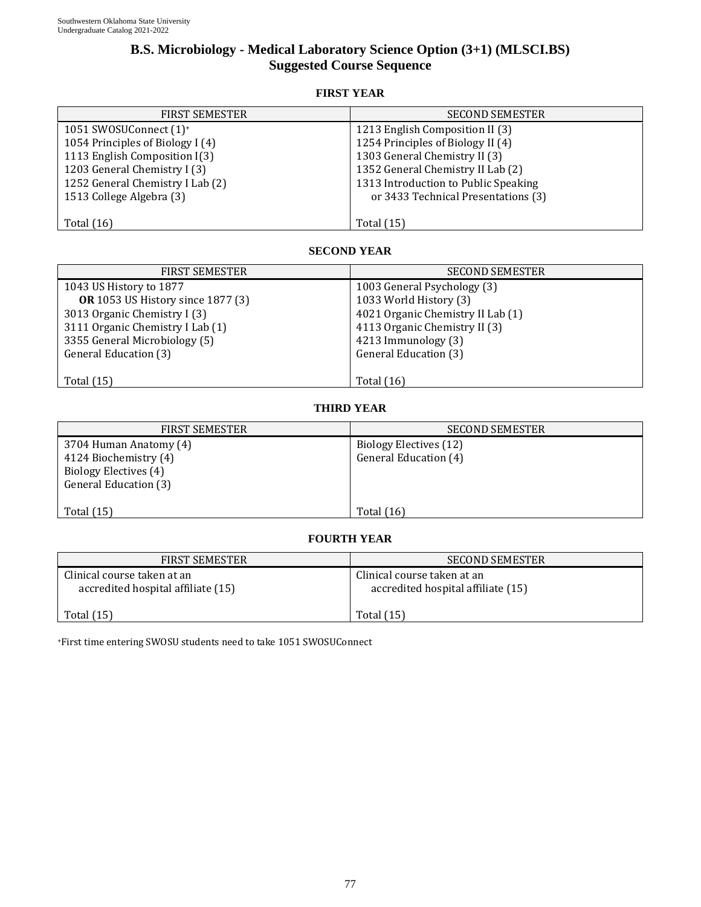# **B.S. Microbiology - Medical Laboratory Science Option (3+1) (MLSCI.BS) Suggested Course Sequence**

## **FIRST YEAR**

| <b>FIRST SEMESTER</b>              | <b>SECOND SEMESTER</b>               |
|------------------------------------|--------------------------------------|
| 1051 SWOSUConnect (1) <sup>+</sup> | 1213 English Composition II (3)      |
| 1054 Principles of Biology I (4)   | 1254 Principles of Biology II (4)    |
| 1113 English Composition I(3)      | 1303 General Chemistry II (3)        |
| 1203 General Chemistry I (3)       | 1352 General Chemistry II Lab (2)    |
| 1252 General Chemistry I Lab (2)   | 1313 Introduction to Public Speaking |
| 1513 College Algebra (3)           | or 3433 Technical Presentations (3)  |
|                                    |                                      |
| Total $(16)$                       | <b>Total</b> (15)                    |

## **SECOND YEAR**

| <b>FIRST SEMESTER</b>                    | <b>SECOND SEMESTER</b>            |
|------------------------------------------|-----------------------------------|
| 1043 US History to 1877                  | 1003 General Psychology (3)       |
| <b>OR</b> 1053 US History since 1877 (3) | 1033 World History (3)            |
| 3013 Organic Chemistry I (3)             | 4021 Organic Chemistry II Lab (1) |
| 3111 Organic Chemistry I Lab (1)         | 4113 Organic Chemistry II (3)     |
| 3355 General Microbiology (5)            | 4213 Immunology (3)               |
| General Education (3)                    | General Education (3)             |
|                                          |                                   |
| Total $(15)$                             | Total $(16)$                      |

## **THIRD YEAR**

| <b>FIRST SEMESTER</b>                                                                             | <b>SECOND SEMESTER</b>                          |
|---------------------------------------------------------------------------------------------------|-------------------------------------------------|
| 3704 Human Anatomy (4)<br>4124 Biochemistry (4)<br>Biology Electives (4)<br>General Education (3) | Biology Electives (12)<br>General Education (4) |
| Total $(15)$                                                                                      | Total $(16)$                                    |

### **FOURTH YEAR**

| <b>FIRST SEMESTER</b>                                             | SECOND SEMESTER                                                   |
|-------------------------------------------------------------------|-------------------------------------------------------------------|
| Clinical course taken at an<br>accredited hospital affiliate (15) | Clinical course taken at an<br>accredited hospital affiliate (15) |
| Total (15)                                                        | Total $(15)$                                                      |

+First time entering SWOSU students need to take 1051 SWOSUConnect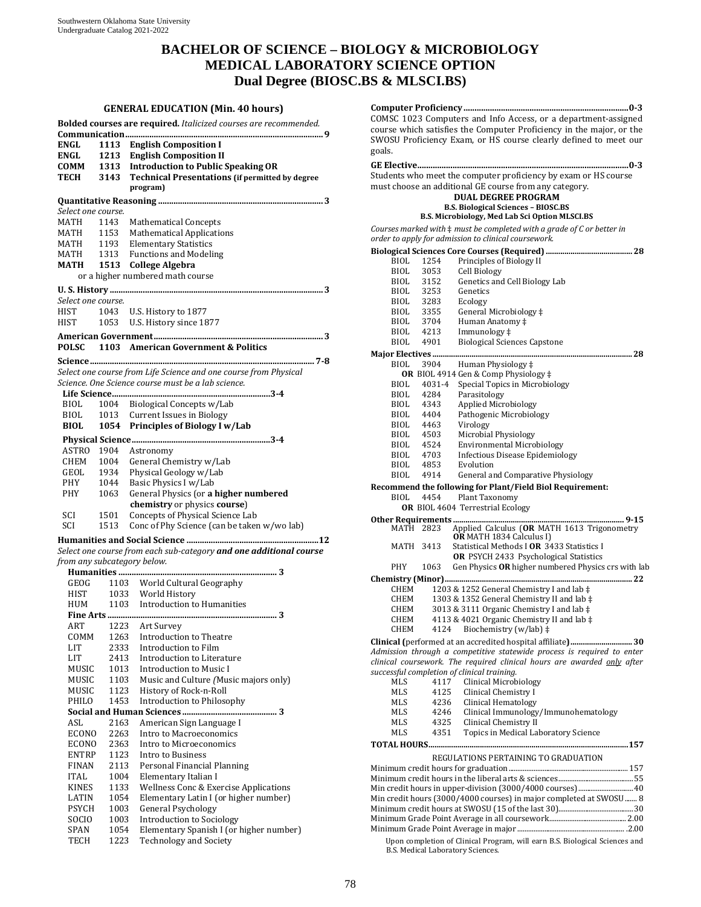# **BACHELOR OF SCIENCE – BIOLOGY & MICROBIOLOGY MEDICAL LABORATORY SCIENCE OPTION Dual Degree (BIOSC.BS & MLSCI.BS)**

#### **GENERAL EDUCATION (Min. 40 hours)**

|                    |              | Bolded courses are required. Italicized courses are recommended.   |
|--------------------|--------------|--------------------------------------------------------------------|
|                    |              |                                                                    |
| ENGL               | 1113         | <b>English Composition I</b>                                       |
| ENGL               |              | 1213 English Composition II                                        |
| COMM               |              | 1313 Introduction to Public Speaking OR                            |
| TECH               |              | 3143 Technical Presentations (if permitted by degree<br>program)   |
|                    |              |                                                                    |
| Select one course. |              |                                                                    |
| MATH               | 1143         | <b>Mathematical Concepts</b>                                       |
|                    |              |                                                                    |
| MATH<br>MATH       |              | 1153 Mathematical Applications<br>1193 Elementary Statistics       |
| <b>MATH</b>        |              | 1313 Functions and Modeling                                        |
| MATH               |              | 1513 College Algebra                                               |
|                    |              | or a higher numbered math course                                   |
|                    |              |                                                                    |
| Select one course. |              |                                                                    |
| HIST               | 1043         | U.S. History to 1877                                               |
| HIST               | 1053         | U.S. History since 1877                                            |
|                    |              |                                                                    |
| POLSC              |              | 1103 American Government & Politics                                |
|                    |              |                                                                    |
|                    |              | Select one course from Life Science and one course from Physical   |
|                    |              | Science. One Science course must be a lab science.                 |
|                    |              |                                                                    |
| BIOL               |              | 1004 Biological Concepts w/Lab                                     |
| BIOL               | 1013         | <b>Current Issues in Biology</b>                                   |
| <b>BIOL</b>        | 1054         | <b>Principles of Biology I w/Lab</b>                               |
|                    |              |                                                                    |
| ASTRO 1904         |              | Astronomy                                                          |
| CHEM 1004          |              | General Chemistry w/Lab                                            |
| GEOL               | 1934         | Physical Geology w/Lab                                             |
| PHY                | 1044         | Basic Physics I w/Lab                                              |
| PHY                | 1063         | General Physics (or a higher numbered                              |
|                    |              | chemistry or physics course)                                       |
| SCI                | 1501         | Concepts of Physical Science Lab                                   |
| SCI                | 1513         | Conc of Phy Science (can be taken w/wo lab)                        |
|                    |              |                                                                    |
|                    |              | Select one course from each sub-category and one additional course |
|                    |              | from any subcategory below.                                        |
| GEOG               |              | 1103 World Cultural Geography                                      |
| HIST               |              | 1033 World History                                                 |
| HUM                |              | 1103 Introduction to Humanities                                    |
|                    |              |                                                                    |
| ART                | 1223         | Art Survey                                                         |
| COMM               | 1263         | Introduction to Theatre                                            |
| LIT                | 2333         | Introduction to Film                                               |
| LIT                | 2413         | Introduction to Literature                                         |
| MUSIC              | 1013         | <b>Introduction to Music I</b>                                     |
| MUSIC              | 1103         | Music and Culture (Music majors only)                              |
| MUSIC              | 1123         | History of Rock-n-Roll                                             |
| PHILO              | 1453         | Introduction to Philosophy                                         |
|                    |              |                                                                    |
| ASL                | 2163         | American Sign Language I                                           |
| ECONO              | 2263<br>2363 | Intro to Macroeconomics<br>Intro to Microeconomics                 |
| ECONO<br>ENTRP     | 1123         | Intro to Business                                                  |
| <b>FINAN</b>       | 2113         | Personal Financial Planning                                        |
| <b>ITAL</b>        | 1004         | Elementary Italian I                                               |
| KINES              | 1133         | Wellness Conc & Exercise Applications                              |
| LATIN              | 1054         | Elementary Latin I (or higher number)                              |
| <b>PSYCH</b>       | 1003         | <b>General Psychology</b>                                          |
| SOCIO              | 1003         | Introduction to Sociology                                          |
| SPAN               | 1054         | Elementary Spanish I (or higher number)                            |
| TECH               | 1223         | <b>Technology and Society</b>                                      |

|                                                                      |              | COMSC 1023 Computers and Info Access, or a department-assigned                  |
|----------------------------------------------------------------------|--------------|---------------------------------------------------------------------------------|
| course which satisfies the Computer Proficiency in the major, or the |              |                                                                                 |
|                                                                      |              | SWOSU Proficiency Exam, or HS course clearly defined to meet our                |
| goals.                                                               |              |                                                                                 |
|                                                                      |              |                                                                                 |
|                                                                      |              | Students who meet the computer proficiency by exam or HS course                 |
|                                                                      |              | must choose an additional GE course from any category.                          |
|                                                                      |              | <b>DUAL DEGREE PROGRAM</b><br><b>B.S. Biological Sciences - BIOSC.BS</b>        |
|                                                                      |              | B.S. Microbiology, Med Lab Sci Option MLSCI.BS                                  |
|                                                                      |              | Courses marked with $\ddagger$ must be completed with a grade of C or better in |
|                                                                      |              | order to apply for admission to clinical coursework.                            |
|                                                                      |              |                                                                                 |
| BIOL                                                                 | 1254         | Principles of Biology II                                                        |
| BIOL                                                                 | 3053         | Cell Biology                                                                    |
| BIOL                                                                 | 3152         | Genetics and Cell Biology Lab                                                   |
| BIOL                                                                 | 3253         | Genetics                                                                        |
| BIOL<br>BIOL                                                         | 3283<br>3355 | Ecology<br>General Microbiology ‡                                               |
| BIOL                                                                 | 3704         | Human Anatomy ‡                                                                 |
| BIOL.                                                                | 4213         | Immunology ‡                                                                    |
| <b>BIOL</b>                                                          | 4901         | <b>Biological Sciences Capstone</b>                                             |
|                                                                      |              |                                                                                 |
| BIOL                                                                 | 3904         | Human Physiology ‡                                                              |
|                                                                      |              | <b>OR</b> BIOL 4914 Gen & Comp Physiology ‡                                     |
| BIOL                                                                 | 4031-4       | Special Topics in Microbiology                                                  |
| BIOL<br>BIOL                                                         | 4284<br>4343 | Parasitology<br><b>Applied Microbiology</b>                                     |
| <b>BIOL</b>                                                          | 4404         | Pathogenic Microbiology                                                         |
| BIOL                                                                 | 4463         | Virology                                                                        |
| BIOL                                                                 | 4503         | Microbial Physiology                                                            |
| BIOL                                                                 | 4524         | <b>Environmental Microbiology</b>                                               |
| BIOL                                                                 | 4703         | <b>Infectious Disease Epidemiology</b>                                          |
| BIOL<br>BIOL                                                         | 4853<br>4914 | Evolution<br>General and Comparative Physiology                                 |
|                                                                      |              | Recommend the following for Plant/Field Biol Requirement:                       |
| <b>BIOL</b>                                                          | 4454         | Plant Taxonomy                                                                  |
|                                                                      |              | <b>OR</b> BIOL 4604 Terrestrial Ecology                                         |
|                                                                      |              |                                                                                 |
| MATH 2823                                                            |              | Applied Calculus (OR MATH 1613 Trigonometry<br>OR MATH 1834 Calculus I)         |
| MATH                                                                 | 3413         | Statistical Methods I OR 3433 Statistics I                                      |
|                                                                      |              | <b>OR</b> PSYCH 2433 Psychological Statistics                                   |
| <b>PHY</b>                                                           | 1063         | Gen Physics OR higher numbered Physics crs with lab                             |
|                                                                      |              | 22                                                                              |
| <b>CHEM</b>                                                          |              | 1203 & 1252 General Chemistry I and lab $\ddagger$                              |
| CHEM                                                                 |              | 1303 & 1352 General Chemistry II and lab $\ddagger$                             |
| CHEM                                                                 |              | 3013 & 3111 Organic Chemistry I and lab $\ddagger$                              |
| CHEM<br><b>CHEM</b>                                                  | 4124         | 4113 & 4021 Organic Chemistry II and lab $\ddagger$<br>Biochemistry (w/lab) ‡   |
|                                                                      |              |                                                                                 |
|                                                                      |              | Admission through a competitive statewide process is required to enter          |
|                                                                      |              | clinical coursework. The required clinical hours are awarded only after         |
|                                                                      |              | successful completion of clinical training.                                     |
| <b>MLS</b>                                                           | 4117         | Clinical Microbiology                                                           |
| <b>MLS</b>                                                           | 4125         | Clinical Chemistry I                                                            |
| MLS                                                                  | 4236         | Clinical Hematology                                                             |
| MLS<br>MLS                                                           | 4246<br>4325 | Clinical Immunology/Immunohematology<br>Clinical Chemistry II                   |
| <b>MLS</b>                                                           | 4351         | Topics in Medical Laboratory Science                                            |
|                                                                      |              |                                                                                 |
|                                                                      |              |                                                                                 |
|                                                                      |              | REGULATIONS PERTAINING TO GRADUATION                                            |
|                                                                      |              |                                                                                 |
|                                                                      |              |                                                                                 |
|                                                                      |              | Min credit hours (3000/4000 courses) in major completed at SWOSU 8              |
|                                                                      |              |                                                                                 |
|                                                                      |              |                                                                                 |
|                                                                      |              | Hnon completion of Clinical Program, will earn B.S. Biological Sciences and     |
|                                                                      |              |                                                                                 |

am, will earn B.S. Biological Sci B.S. Medical Laboratory Sciences.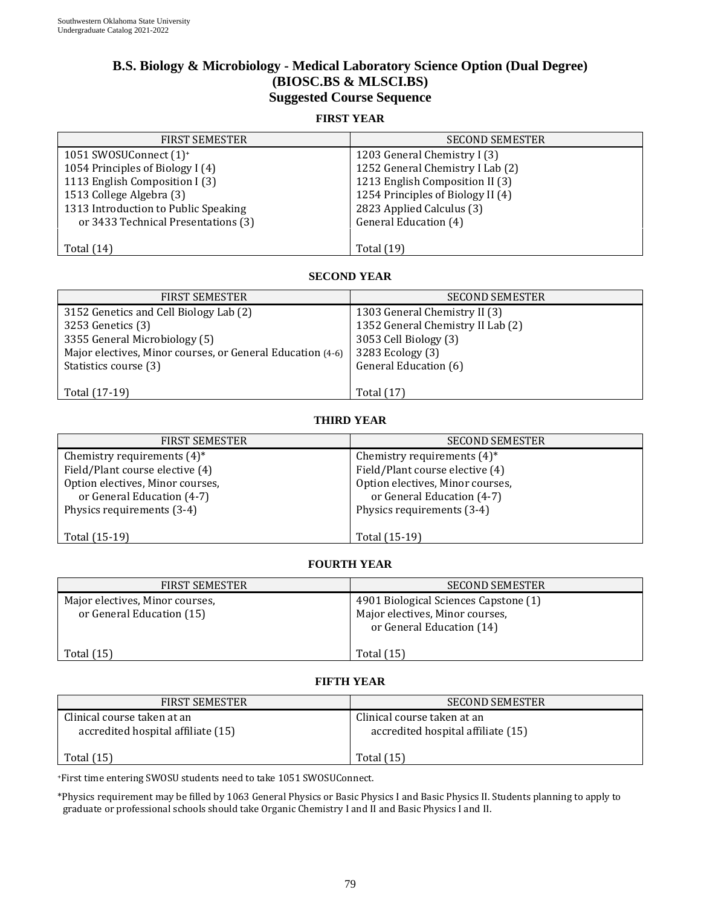# **B.S. Biology & Microbiology - Medical Laboratory Science Option (Dual Degree) (BIOSC.BS & MLSCI.BS) Suggested Course Sequence**

#### **FIRST YEAR**

| <b>FIRST SEMESTER</b>                | <b>SECOND SEMESTER</b>            |
|--------------------------------------|-----------------------------------|
| 1051 SWOSUConnect (1) <sup>+</sup>   | 1203 General Chemistry I (3)      |
| 1054 Principles of Biology I (4)     | 1252 General Chemistry I Lab (2)  |
| 1113 English Composition I (3)       | 1213 English Composition II (3)   |
| 1513 College Algebra (3)             | 1254 Principles of Biology II (4) |
| 1313 Introduction to Public Speaking | 2823 Applied Calculus (3)         |
| or 3433 Technical Presentations (3)  | General Education (4)             |
|                                      |                                   |
| Total $(14)$                         | <b>Total</b> (19)                 |

### **SECOND YEAR**

| <b>FIRST SEMESTER</b>                                      | <b>SECOND SEMESTER</b>            |
|------------------------------------------------------------|-----------------------------------|
| 3152 Genetics and Cell Biology Lab (2)                     | 1303 General Chemistry II (3)     |
| 3253 Genetics (3)                                          | 1352 General Chemistry II Lab (2) |
| 3355 General Microbiology (5)                              | 3053 Cell Biology (3)             |
| Major electives, Minor courses, or General Education (4-6) | 3283 Ecology (3)                  |
| Statistics course (3)                                      | General Education (6)             |
|                                                            |                                   |
| Total (17-19)                                              | Total (17)                        |

#### **THIRD YEAR**

| <b>FIRST SEMESTER</b>            | <b>SECOND SEMESTER</b>           |
|----------------------------------|----------------------------------|
| Chemistry requirements $(4)^*$   | Chemistry requirements $(4)^*$   |
| Field/Plant course elective (4)  | Field/Plant course elective (4)  |
| Option electives, Minor courses, | Option electives, Minor courses, |
| or General Education (4-7)       | or General Education (4-7)       |
| Physics requirements (3-4)       | Physics requirements (3-4)       |
|                                  |                                  |
| Total (15-19)                    | Total (15-19)                    |

### **FOURTH YEAR**

| <b>FIRST SEMESTER</b>                                        | <b>SECOND SEMESTER</b>                                                                                |
|--------------------------------------------------------------|-------------------------------------------------------------------------------------------------------|
| Major electives, Minor courses,<br>or General Education (15) | 4901 Biological Sciences Capstone (1)<br>Major electives, Minor courses,<br>or General Education (14) |
| Total (15)                                                   | Total $(15)$                                                                                          |

### **FIFTH YEAR**

| <b>FIRST SEMESTER</b>                                             | <b>SECOND SEMESTER</b>                                            |
|-------------------------------------------------------------------|-------------------------------------------------------------------|
| Clinical course taken at an<br>accredited hospital affiliate (15) | Clinical course taken at an<br>accredited hospital affiliate (15) |
| Total $(15)$                                                      | Total (15)                                                        |

+First time entering SWOSU students need to take 1051 SWOSUConnect.

\*Physics requirement may be filled by 1063 General Physics or Basic Physics I and Basic Physics II. Students planning to apply to graduate or professional schools should take Organic Chemistry I and II and Basic Physics I and II.